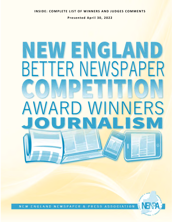**INSIDE: COMPLETE LIST OF WINNERS AND JUDGES COMMENTS** 

**Presented April 30, 2022** 

# W ENGLA **BETTER NEWSPAPER NFRS**  $\overline{\phantom{a}}$ O

NEW ENGLAND NEWSPAPER & PRESS ASSOCIATION

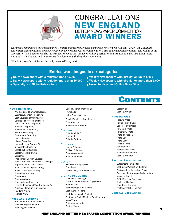



*This year's competition drew nearly 2,000 entries that were published during the contest year August 1, 2020 - July 31, 2021. The entries were evaluated by the New England Newspaper & Press Association's distinguished panel of judges. The results of the competition listed here recognize the excellent revenue and audience building activities that are taking place throughout New England — the finalists and winners are listed, along with the judges' comments.* 

*NENPA is proud to celebrate this truly extraordinary work!*

# **Entries were judged in six categories:**

- **Daily Newspapers with circulation up to 15,000 Weekly Newspapers with circulation up to 5,000**
- 
- 
- 
- **Daily Newspapers with circulation more than 15,000** Weekly Newspapers with circulation more than 5,000
- **Specialty and Niche Publications News Services and Online News Sites**

#### NEWS REPORTING

 Arts and Entertainment Reporting Business/Economic Reporting Best Coverage of Coronavirus Coverage of Protests or Rallies Crime and Courts Reporting Education Reporting Environmental Reporting General News Story Government Reporting Health Reporting History Reporting Human Interest Feature Story Investigative Reporting Local Election Coverage Local Personality Profile **Obituaries** Presidential Election Coverage Racial, Ethnic or Gender Issue Coverage Reporting on Religious Issues Science/Technology Reporting Social Issues Feature Story Sports Feature Story Sports Story Spot News Story Transportation Reporting Climate Change and Weather Coverage Audience/Community Involvement Headline Writing Right-to-Know

#### Editorial/Commentary Page Front Page Living Page or Section Special Section or Supplement Sports Section

Special Sports Section

#### **EDITORIAL**

Editorial Writing **Commentary** Editorial Cartoon

#### **COLUMNS**

Humor Columnist Political Columnist Serious Columnist Sports Columnist

#### **DESIGN**

Illustration/Infographics Front Page Overall Design and Presentation

#### **DIGITAL PUBLISHING**

Multimedia Coverage Website Interactivity and Engagement Best Podcast Best Infographic on Website Best Overall Website Best Overall Mobile Product Best use of Social Media in Breaking News News Video Entertainment Video Feature Video

# **CONTENTS**

Sports Video Spot News Video

#### **PHOTOGRAPHY**

Feature Photo News Feature Photo General News Photo Pandemic Photo Personality Photo Photo Illustration Photo Series Photo Story Pictorial Photo Portrait Photo Sports Action Photo Sports Feature Photo Spot News Photo

#### **SPECIAL RECOGNITION**

Outstanding Newsletter Best Niche Publication (Editorial) Best Solutions Journalism Project Excellence in Newsroom Collaboration Innovator Award Digital Strategy Excellence Rookie of The Year Reporter of The Year Photojournalist of the Year

#### **GENERAL EXCELLENCE**

#### **PAGES AND SECTIONS** Arts and Entertainment Section

Business Page or Section Food Page or Section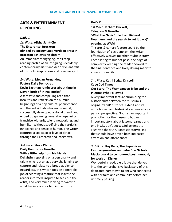# **ARTS & ENTERTAINMENT REPORTING**

#### *Daily 1*

*1st Place:* **Alisha Saint-Ciel**, **The Enterprise, Brockton Blinded by society Cape Verdean artist in Brockton achieves his dream** An immediately engaging, can't stop reading profile of an intriguing - decidedly contemporary artist and deep dive analysis of his roots, inspirations and creative spirit.

#### *2nd Place:* **Megan Fernandes**, **Fosters Daily Democrat Kevin Eastman reminisces about time in Dover, birth of 'Ninja Turtles'**

A fantastic and compelling read that localizes and reflects on the humble beginnings of a pop cultural phenomenon and the individuals who envisioned it, successfully developed a global brand, and ended up spawning generation-spanning franchise with grit, talent, networking, and humility - without sacrificing their artistic innocence and sense of humor. The writer captured a spectacular level of detail through their research and interviews.

#### *3rd Place:* **Steve Pfarrer**, **Daily Hampshire Gazette With a little help from his friends**

Delightful reporting on a personality and talent who is at an age very challenging to capture and relate to a broad audience. Regardless, this writer does an admirable job of scripting a feature that leaves the reader informed, inspired to seek out the artist, and very much looking forward to what lies in store for him in the future.

#### *Daily 2*

#### *1st Place:* **Richard Duckett**, **Telegram & Gazette 'What the Nazis Stole from Richard Neumann (and the search to get it back)' opening at WAM**

This arts & culture feature could be the foundation of a screenplay - the writer effectively weaves together multiple story lines skating to but not past,, the edge of complexity keeping the reader hooked to the final sentence and likely driving many to access this exhibit.

# *2nd Place:* **Kathi Scrizzi Driscoll**, **Cape Cod Times Our Story: The Wampanoag Tribe and the**

# **Pilgrims Who Followed**

A very important feature chronicling the historic shift between the museum's original 'racist' historical exhibit and its more honest and historically accurate firstperson perspective. Not just an important promotion for the museum, but an important story about lessons learned and one institution's successful attempt to illustrate the truth. Fantastic storytelling that should have driven both increased attention and attendance!

#### *3rd Place:* **Ray Kelly**, **The Republican East Longmeadow animator Sue Nichols Maciorowski to be honored posthumously for work on Disney**

Wonderfully readable tribute that delves into the comprehensive back story of this dedicated hometown talent who connected with her faith and community before her untimely passing.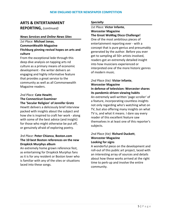# **ARTS & ENTERTAINMENT**

**REPORTING,** *(continued)*

#### *News Services and Online News Sites*

*1st Place:* **Michael Jonas**, **CommonWealth Magazine Fitchburg pinning revival hopes on arts and culture**

From the exceptional lede through this deep dive analysis on tapping arts nd culture as a primary means of economic development - the writer delivers an engaging and highly informative feature that provides a great service to the community as well as all Commonwealth Magazine readers.

# *2nd Place:* **Cate Hewitt**, **The Connecticut Examiner**

#### **The 'Secular Religion' of Jennifer Grotz**

Hewitt delivers a deliciously brief interview packed with insights about the subject and how she is inspired to craft her work - along with some of the best advice (and insight) for those who might otherwise be put off, or genuinely afraid of exploring poetry.

#### *3rd Place:* **Peter Chianca**, **Boston.com The 10 best Boston references on the new Dropkick Murphys album**

An extremely home grown reference fest, as entertaining for Dropkick Murphys fans as it is for any resident or Boston lover who is familiar with any of the sites or situations laced into these songs.

#### *Specialty*

#### *1st Place:* **Victor Infante**, **Worcester Magazine The Great WoMag Disco Challenge!**

One of the most ambitious pieces of entertainment reporting ever - with a concept that is pure genius and presumably generated by the author. Before you ever get to sampling all 50+ artists involved, readers got an extremely detailed insight into how musicians experienced or interpreted one of the more historic genres of modern music.

# *2nd Place (tie):* **Victor Infante**, **Worcester Magazine**

**In defense of television: Worcester shares its pandemic-driven viewing habits** An extremely well-written 'page scroller' of a feature, incorporating countless insights

not only regarding who's watching what on TV, but also offering many insights on what TV is, and what it means. I dare say every reader of this excellent feature saw themselves in at least one of this reporter's subjects.

# *2nd Place (tie):* **Richard Duckett**, **Worcester Magazine Looking for signs**

A wonderful piece on the development and roll-out of this public art project, laced with an interesting array of sources and details about how these works arrived at the right time to perk-up and involve the entire community.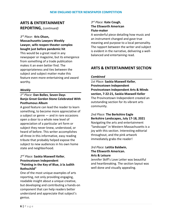# **ARTS & ENTERTAINMENT REPORTING,** *(continued)*

#### *3 rd Place*: **Kris Olson,**

**Massachusetts Lawyers Weekly Lawyer, wife reopen theater complex bought just before pandemic hit** This would be a great read in any newspaper or magazine, but its emergence from something of a trade publication makes it an even better find. The appropriateness and ties between the subject and subject matter make this feature even more entertaining and award worthy.

#### *Weekly*

## *1 st Place:* **Dan Bolles**, **Seven Days Banjo Great Gordon Stone Celebrated With Posthumous Album**

A good feature can lead the reader to learn something, to become more appreciative of a subject or genre — and in rare occasions open a door to a whole new level of appreciation of a particular art form or subject they never knew, understood, or heard of before. This writer accomplishes all three in this informative, easy reading tribute that probably helped expose the subject to new audiences in his own home state and neighborhood.

## *2 nd Place:* **Saskia Maxwell Keller**, **Provincetown Independent "Painting in the Key of Blue, à la Judith Rothschild"**

One of the most unique examples of arts reporting, not only providing engaging, readable insight about a unique creative, but developing and contributing a hands-on component that can help readers better understand and appreciate that subject's genius.

# *3 rd Place:* **Kate Cough**, **The Ellsworth American Flute-maker**

A wonderful piece detailing how music and an instrument changed and gave true meaning and purpose to a local personality. The rapport between the writer and subject is evident in the narrative, delivering a wellbalanced and entertaining read.

# **ARTS & ENTERTAINMENT SECTION**

#### *Combined*

*1st Place:* **Saskia Maxwell Keller**, **Provincetown Independent Provincetown Independent Arts & Minds section, 7-22-21, Saskia Maxwell Keller** The Provincetown Independent created an outstanding section for its vibrant arts community.

*2nd Place:* **The Berkshire Eagle Berkshire Landscapes, July 17-18, 2021** Navigating the arts and entertainment "landscape" in Western Massachusetts is a joy with this section. Interesting editorial throughout, and the pink artwork immediately grabs the reader!

## *3rd Place:* **Letitia Baldwin**, **The Ellsworth American. Arts & Leisure**

Jennifer Skiff's Love Letter was beautiful and heartbreaking. The section layout was well done and visually appealing.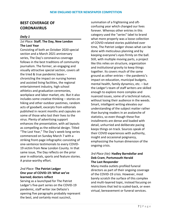# **BEST COVERAGE OF CORONAVIRUS**

#### *Daily 1*

#### *1st Place:* **Staff**, **The Day, New London The Lost Year**

Consisting of both an October 2020 special section and a March 2021 anniversary series, The Day's coronavirus coverage follows in the best traditions of community journalism. The former, an engaging and visually attractive special section, covers all the tried & true pandemic bases – chronicling the impact on nursing homes and assisted living facilities, the regional entertainment industry, high school athletics and graduation ceremonies, workplace and labor market, etc. But it also includes some creative thinking – stories on hiking and other outdoor pastimes, random acts of goodwill, excerpts from editorials published in recent months and capsules on some of those who lost their lives to the virus. Plenty of advertising support enhances the presentation, with ad layouts as compelling as the editorial design. Titled "The Lost Year," The Day's week-long series commenced on Sunday March 7 with a striking front-page infographic consisting of one-sentence testimonials to every COVID-19 victim from New London County. In that same issue, The Day reflects on the prior year in editorials, sports and feature stories. A praise-worthy effort.

## *2nd Place:* **The Patriot Ledger One year of COVID-19: What we've learned; doctors reflect**

Serving as a launchpad for The Patriot Ledger's five-part series on the COVID-19 pandemic, staff writer Joe Defazio's opening five paragraphs probably represent the best, and certainly most succinct,

summation of a frightening and oftconfusing year which changed our lives forever. Whereas other entries in this category used the "series" label to brand what more properly was a loose collection of COVID-related stories published over time, The Patriot Ledger shows what can be done with meticulous planning and by keeping everyone's eyes firmly on the ball. Still, with multiple moving parts, a project like this relies on structure, organization and institutional gravity to keep things together. Its covers much of the same ground as other entries – the pandemic's impact on education, municipal budgets, mental health, family dynamics, etc. – but the Ledger's team of staff writers are skilled enough to explore more complex and nuanced issues, some of a technical nature, without losing their audience in the weeds. Smart, intelligent writing elevates our understanding of the subject matter rather than burying readers in an avalanche of statistics, so even though these five installments are dense and loaded with detail, unhurried and deliberate pacing keeps things on track. Sources speak of their COVID experiences with authority, insight and occasional poignancy, emphasizing the human dimension of the ongoing crisis.

#### *3rd Place (tie):* **Hadley Barndollar and Deb Cram**, **Portsmouth Herald The Last Responder**

Many media outlets profiled funeral directors as part of their ongoing coverage of the COVID-19 crisis. However, most barely scratch the surface of this complex and multi-layered topic, instead focusing on restrictions that led to scaled-back, or even virtual, bereavement or funeral services.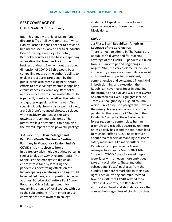But in his lengthy profile of Maine funeral director Jeffrey Pelkey, Gannett staff writer Hadley Barndollar goes deeper to provide a behind-the-scenes look at a critical industry. Demonstrating a keen eye for detail, Barndollar touches all the bases in spinning a narrative that breathes life into the business of death. Even without the added dimension of COVID-19 this would be a compelling read, but the author's ability to explain procedures rarely seen by the public, while also chronicling near-heroic efforts to preserve dignity amidst appalling circumstances, is exemplary. Barndollar neither minces words, nor wastes them. He is perfectly comfortable letting the details – and quotes – speak for themselves. Also speaking loudly, from a visual point of view, are Deb Cram's nuanced photos, displayed with sensitivity and tact as the story unwinds through multiple jumps. The jumps, while a distraction, can't diminish the overall impact of this powerful package.

*3rd Place (tie)*: **Olivia Belanger and Paul Cuno-Booth, The Keene Sentinel For many in Monadnock Region, India's COVID crisis hits close to home** In a category with multiple outlets pursuing similar angles on COVID-related topics, The Keene Sentinel manages to dig up an entirely fresh take by localizing the pandemic's devastating effects on the India/Nepal region. Stronger editing would have helped here, as composition is clunky at times. But give staff writers Paul Cuno-Booth and Olivia Belanger credit for unearthing a range of local sources with ties to the subcontinent – from physicians to convenience store owners to college

students. All speak with sincerity and genuine concern for those back home. Nicely done.

#### *Daily 2*

#### *1st Place:* **Staff**, **Republican-American Coverage of the Coronavirus**

There is much to admire in The Waterbury Republican's diverse and far-reaching coverage of the COVID-19 pandemic. Culled from a 10-month period beginning in August 2020, the varied elements included in this entry showcase community journalist at its finest – compelling, consistent, comprehensive and contextual. Thoughtful in both planning and execution, the Republican never loses focus in detailing the profound and evolving ways that COVID has affected our lives. Highlights include Tracey O'Shaughnessy's Aug. 30 column which – in 23 exquisite paragraphs – evokes the misery, bravery and absurdity of the pandemic; the seven-part "People of the Pandemic" series by Steve Barlow which forces readers to contemplate human triumphs and tragedies occurring on more or less a daily basis; and the top-notch lead to Michael Puffer's Aug. 2 news feature about area teachers demanding classroom safety measures. Like many outlets, the Republican also published a 1-year retrospective in early March 2021 titled "Life with COVID," then followed it up a week later with an even more ambitious take on vaccinations. These and other subsequent "Focus" packages from the Sunday paper are remarkable in their own right, each delivering and multi-faceted take on a different COVID-related topic. Taken in its entirety, the Republican's efforts stand head and shoulders above the competition, regardless of circulation class.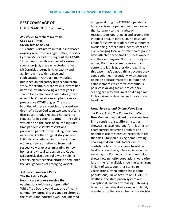#### *2nd Place:* **Cynthia McCormick**, **Cape Cod Times COVID hits Cape Cod**

This entry is distinctive in that it showcases ongoing work from a single staffer, reporter Cynthia McCormick, throughout the COVID-19 pandemic. While not part of a series or special project, these nine stories reflect McCormick's journalistic versatility and ability to write with nuance and sophistication. Although many outlets published an obligatory high school prom story, for example, McCormick elevates her narrative by interviewing a prom-goer in search for a color coordinated dress/mask ensemble. Other stories emphasize more provocative COVID angles. The most haunting of these chronicles the overdose death of a Cape Cod teen two weeks after a district court judge rejected her parents' request for in-patient treatment – his ruling was made on the basis of court filings at a time pandemic safety restrictions prevented parents from making their case in person. Another original storyline uses USPS data to detail an influx of at-home workers, newly untethered from their respective workplaces, migrating to new homes and virtual careers on the Cape. McCormick also does solid work helping readers highly technical efforts to sequence the viral genomes of emerging variants.

*3rd Place:* **Francesca Paris**, **The Berkshire Eagle Health care workers receive first vaccinations with fear, hope, relief** While Troy Dobrowolski was one of many community journalists assigned to chronicle the restaurant industry's well-documented

struggles during the COVID-19 pandemic, his effort is more perceptive than most – thanks largely to the insights of restaurateurs operating in and around the Pittsfield area. In particular, he deserves credit for showing readers how sometimesoverlapping, other-times inconsistent and ever-changing local and state health policies have affected these small business owners and their employees. Not the most stylish writer, Dobrowolski seems more than content to let his quotes do the talking. In this case, that's a good thing because they speak volumes – especially when sources opine on delicate matters like requiring establishments to enforce contentious policies involving masks, scaled-back seating capacity and limits on dining time. Editors likewise deserve credit for a clever headline.

#### *News Services and Online News Sites*

*1st Place:* **Staff**, **The Connecticut Mirror How Connecticut battled the coronavirus** Entry consists of six different stories showcasing excellent long-form journalism characterized by strong graphics and relentless use of statistical research to tell the tales. Story on nursing home staffing challenges documents factors which contribute to erosion among front-line health care workers, while a piece on the early days of Connecticut's vaccine rollout shows how minority populations were often last in line for available shots (quite an irony in light of subsequent resistance to vaccinations, often among those same populations). News feature on COVID-19 deaths in the state prison system was exceptional, and heartbreaking – showing how most inmates died alone, with family members notified only when a final decision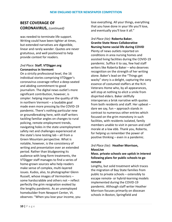was needed to terminate life support. Writing could have been tighter at times, but extended narratives are digestible, linear and rarely wander. Quotes are never gratuitous, and well positioned to help provide context for readers.

#### *2nd Place:* **Staff**, **VTDigger.org Coronavirus in Vermont**

On a strictly professional level, the 16 individual stories comprising VTDigger's coronavirus coverage reflect a deep-seated and abiding commitment to good journalism. The digital news outlet's more significant contribution, however, is simpler: helping improve the quality of life in northern Vermont – a laudable goal made even more pressing by the COVID-19 pandemic. There's nothing particular new or groundbreaking here, with staff writers tackling familiar angles on changes to rural policing, remote employment trends, navigating holes in the state unemployment safety net and challenges experienced at the state's lone testing lab – all from a Green Mountain perspective. What is notable, however, is the consistency of writing and presentation over an extended period. Rather than bludgeoning its audience with long-form treatments, the VTDigger staff manages to find a series of home-grown sources who help readers make sense of complex, multi-layered issues. Kudos, also, to photographer Glenn Russell, whose images of Vermonters – some hardscrabble and others not – reflect perfectly the grim resignation evoked by the lengthy pandemic. As an unemployed homebuilder from Newport Center, Vt. observes: "When you lose your income, you

lose everything. All your things, everything that you have done in your life you'll lose, and eventually you'll lose it all."

# *3rd Place (tie):* **Roberta Baker**, **Granite State News Collaborative Nursing home social life during COVID**

Plenty of news outlets reported on conditions in area nursing homes and assisted living facilities during the COVID-19 pandemic. Suffice it to say, few had staff writers like Roberta Baker – who deserves recognition on the strength of her writing alone. Baker's lead on the "Things get wacky" story is a delight, capturing the zany essence of costumed staffers at the N.H. Veterans Home who, by all appearances, will stop at nothing to elicit a smile from dispirited elders. Baker skillfully intersperses a brisk narrative with quotes from both residents and staff. Her upbeat – dare we say, fun – approach stands in contrast to numerous other entries which focused on the grim monotony in such facilities, with residents isolated, family members unable to visit in person and staff morale at a low ebb. Thank you, Roberta, for helping us remember the power of positive thinking – even in a pandemic.

#### *3rd Place (tie)*: **Heather Morrison, MassLive**

## **Mass. private schools see uptick in interest following plans for public schools to go remote**

Lengthy, but solid treatment which traces the migration of Bay State families from public to private schools – ostensibly to escape remote- or hybrid-learning models implemented during the COVID-19 pandemic. Although staff writer Heather Morrison focuses primarily on diocesan schools in Boston, Springfield and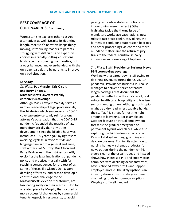Worcester, she explores other classroom alternatives as well. Despite its daunting length, Morrison's narrative keeps things moving, introducing readers to parents struggling with difficult – and expensive – choices in a rapidly-shifting educational landscape. Her sourcing is exhaustive, but always balanced and even-handed, with the only agenda a desire by parents to improve on a bad situation.

#### *Specialty*

#### *1st Place:* **Pat Murphy, Kris Olson, and Barry Bridges**, **Massachusetts Lawyers Weekly coronavirus coverage**

Although Mass. Lawyers Weekly serves a narrow readership of legal professionals, the 16 stories which encompass its COVID coverage entry certainly reinforce one attorney's observation that the COVID-19 pandemic "upended the practice of law more dramatically than any other development since the billable hour was introduced 100 years ago." By rigorously avoiding legalese in favor of style and language familiar to a general audience, staff writers Pat Murphy, Kris Olson and Barry Bridges earn their stripes by deftly exploring the legal implications of pandemic policy and practices – usually with farreaching consequences for the rest of us. Some of these, like Olson's Oct. 8 story detailing efforts by landlords to develop a constitutional challenge to the Massachusetts eviction moratorium, are fascinating solely on their merits. (Ditto for a related piece by Murphy that focused on more successful challenges by commercial tenants, especially restaurants, to avoid

paying rents while state restrictions on indoor dining were in effect.) Other highlights tackle the thorny issue of mandatory workplace vaccinations, new rules to fast-track bankruptcy filings, the fairness of conducting suppression hearings and other proceedings via Zoom and more mundane matters like the return of jury trials to the federal courthouse. Very impressive and deserving of top honors.

## *2nd Place:* **Staff**, **Providence Business News PBN coronavirus coverage**

Working with a pared-down staff owing to declining revenues during the COVID-19 pandemic, Providence Business Journal still manages to deliver a series of featurelength packages that document the pandemic's effects on the city's retail, real estate, health care, hospitality and tourism sectors, among others. Although such topics might be a dry read in less capable hands, the staff at PBJ strives for just the right amount of leavening. For example, an October feature on virtual employment foresees the gradual emergence of permanent hybrid workplaces, while also exploring the trickle-down effects on a Pawtucket dog-boarding, grooming and daycare business. Turning its attention to nursing homes – a thematic lodestar for news outlets during the pandemic – PBJ steers clear of the usual tropes and instead shows how increased PPE and supply costs, combined with declining occupancy rates, have siphoned away profits and sapped employee morale. The likely upshot is an industry shakeout with state government channeling funds to home-care options. Weighty stuff well handled.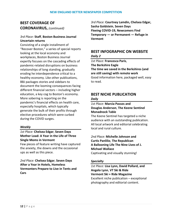#### *3rd Place:* **Staff**, **Boston Business Journal Uncertain returns**

Consisting of a single installment of "Recover Boston," a series of special reports looking at the local economy and workplaces, Boston Business Journal expertly focuses on the cascading effects of pandemic-related disruptions on business relationships of long standing, gradually eroding he interdependence critical to a healthy economy. Like other publications, BBJ packages stories and sidebars to document the looming consequences facing different financial sectors – including higher education, a key cog to Boston's economy. More sobering is reporting on the pandemic's financial effects on health care, especially hospitals, which typically generate the bulk of their profits through elective procedures which were curbed during the COVID surges.

#### *Weekly*

## *1st Place:* **Chelsea Edgar**, **Seven Days Mother Load: A Year in the Life of Three Single Moms in Vermont**

Few pieces of feature writing have captured the anxiety, the downs and the occasional ups as well as this piece.

#### *2nd Place:* **Chelsea Edgar**, **Seven Days After a Year in Hotels, Homeless Vermonters Prepare to Live in Tents and Cars**

*3rd Place:* **Courtney Lamdin, Chelsea Edgar, Sasha Goldstein**, **Seven Days Fleeing COVID-19, Newcomers Find Temporary — or Permanent — Refuge in Vermont**

# **BEST INFOGRAPHIC ON WEBSITE** *Daily 2*

*1st Place:* **Francesca Paris**, **The Berkshire Eagle The time we saved in the Berkshires (and are still saving) with remote work** Good information here, packaged well, easy to read.

# **BEST NICHE PUBLICATION**

#### *Daily*

#### *1st Place:* **Marcia Passos and Douglas Anderson**, **The Keene Sentinel Monadnock Table**

The Keene Sentinel has targeted a niche audience with an outstanding publication. All local artwork and editorial celebrating local and rural culture.

*2nd Place:* **Michelle Johnson and Curtis Panlilio**, **The Republican A Ballooning Life The Nine Lives of J. Michael Wallace** Captivating and visually stunning!

#### *Specialty*

*1st Place:* **Lisa Lynn, David Pollard, and Angelo Lynn**, **VT Ski & Ride Vermont Ski + Ride Magazine** Excellent niche publication – exceptional photography and editorial content.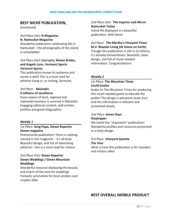# **BEST NICHE PUBLICATION,**

*(continued)*

#### *2nd Place (tie):* **N-Magazine N, Nantucket Magazine**

Wonderful publication celebrating life in Nantucket – the photography of the island is remarkable!

#### *2nd Place (tie):* **Lisa Lynn, Shawn Braley, and Angelo Lynn**, **Vermont Sports Vermont Sports.**

This publication knows its audience and serves it well! This is a must read for athletes living in, or visiting, Vermont.

## *3rd Place:* **Mainebiz 4 editions of excellence**

Every aspect of local, regional and statewide business is covered in Mainebiz. Engaging editorial content, well written profiles and good infographics.

#### *Weekly 1*

#### *1st Place:* **Greg Popa, Stowe Reporter Stowe magazine**

Phenomenal publication! There is nothing canned in this magazine – it's all local. Beautiful design, and full of interesting editorial – this is a must read for visitors.

#### *2nd Place (tie):* **Stowe Reporter Stowe Weddings / Green Mountain Weddings**

Wonderful resource displaying the beauty and charm of the area for weddings. Fantastic promotion for local vendors and couples alike.

*2nd Place (tie):* **The Inquirer and Mirror Nantucket Today** Island life displayed in a beautiful publication. Well done!

#### *3rd Place:* **The Martha's Vineyard Times M.V. Bluedot Living (At Home on Earth)**

Though this publication is still in its infancy, it's already extraordinary. Beautiful, clean design, and full of much needed information. Congratulations!

#### *Weekly 2*

#### *1st Place:* **The Mountain Times Covid Guides**

Kudos to The Mountain Times for producing this much-needed guide to educate the public! The design is attractive (even fun) and the information is relevant and presented clearly.

## *2nd Place:* **Seven Days Staytripper**

We loved this "staycation" publication! Wonderful profiles and resources presented in a lively design.

# *3rd Place:* **Vineyard Gazette**

#### **The Vine**

What a treat this publication is for islanders and visitors alike!

# **BEST OVERALL MOBILE PRODUCT**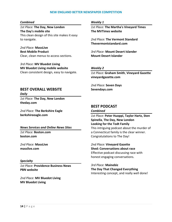#### *Combined*

*1st Place:* **The Day, New London The Day's mobile site** This clean design of this site makes it easy to navigate.

*2nd Place:* **MassLive Best Mobile Product** Clear, clean menus to access sections.

*3rd Place:* **MV Bluedot Living MV Bluedot Living mobile website** Clean consistent design, easy to navigate. *Weekly 1*

*1st Place:* **The Martha's Vineyard Times The MVTimes website**

*2nd Place:* **The Vermont Standard Thevermontstandard.com**

*3rd Place:* **Mount Desert Islander Mount Desert Islander**

#### *Weekly 2*

*1st Place:* **Graham Smith**, **Vineyard Gazette vineyardgazette.com**

*2nd Place:* **Seven Days Sevendays.com**

# **BEST OVERALL WEBSITE**

*Daily*

*1st Place:* **The Day, New London theday.com**

*2nd Place:* **The Berkshire Eagle berkshireeagle.com**

#### *News Services and Online News Sites*

*1st Place:* **Boston.com boston.com**

*2nd Place:* **MassLive masslive.com**

#### *Specialty*

*1st Place:* **Providence Business News PBN website**

*2nd Place:* **MV Bluedot Living MV Bluedot Living**

#### **BEST PODCAST**

#### *Combined*

*1st Place:* **Peter Huoppi, Taylor Hartz, Sten Spinella**, **The Day, New London Looking for the Todt Family** This intriguing podcast about the murder of a Connecticut family is the clear winner. Congratulations to The Day!

*2nd Place:* **Vineyard Gazette Shed: Conversations about race** Effective podcast discussing race with honest engaging conversations.

*3rd Place:* **Mainebiz The Day That Changed Everything** Interesting concept, and really well done!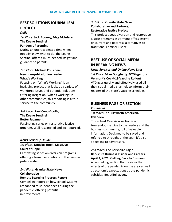# **BEST SOLUTIONS JOURNALISM PROJECT**

#### *Daily*

*1st Place:* **Jack Rooney, Meg McIntyre**, **The Keene Sentinel Pandemic Parenting**

During an unprecedented time when nobody knew what to do, the Keene Sentinel offered much needed insight and guidance to parents.

#### *2nd Place:* **Michael Cousineau**, **New Hampshire Union Leader What's Working**

Focusing on "What's Working" is an intriguing project that looks at a variety of workforce issues and potential solutions. Offering insight on "what's working" in other communities, this reporting is a true service to the community.

#### *3rd Place:* **Paul Cuno-Booth**, **The Keene Sentinel Better Judgment** Fascinating series on restorative justice

program. Well researched and well sourced.

#### *News Service / Online*

## *1st Place:* **Douglas Hook**, **MassLive Court of Hope**

Captivating series on diversion programs offering alternative solutions to the criminal justice system.

# *2nd Place:* **Granite State News Collaborative**

#### **Remote Learning Progress Report**

Compelling report on how school systems responded to student needs during the pandemic, offering potential improvements.

#### *3rd Place:* **Granite State News Collaborative and Partners**, **Restorative Justice Project**

This project about diversion and restorative justice programs in Vermont offers insight on current and potential alternatives to traditional criminal justice.

# **BEST USE OF SOCIAL MEDIA IN BREAKING NEWS**

*News Services and Online News Sites*

*1st Place:* **Mike Dougherty**, **VTDigger.org Vermont's Covid-19 Vaccine Rollout** VTDigger quickly and effectively used all their social media channels to inform their readers of the state's vaccine schedule.

# **BUSINESS PAGE OR SECTION**

#### *Combined*

#### *1st Place:***The Ellsworth American. Overview**

This robust Overview section is a tremendous service to the readers and the business community, full of valuable information. Designed to be saved and referred to throughout the year, it's also appealing to advertisers.

# *2nd Place:* **The Berkshire Eagle Berkshire Business Insider and Careers,**

**April 3, 2021: Getting Back to Business** A compelling section that reviews the effects of the pandemic on the area as well as economic expectations as the pandemic subsides. Beautiful layout.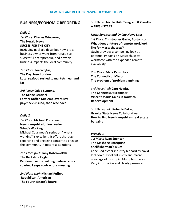# **BUSINESS/ECONOMIC REPORTING**

#### *Daily 1*

*1st Place:* **Charles Winokoor**, **The Herald News SUCESS FOR THE CITY**

Intriguing package describes how a local business owner went from refugee to successful entrepreneur, and how his business impacts the local community.

*2nd Place:* **Joe Wojtas**, **The Day, New London Local seafood rushed to markets near and far**

*3rd Place:* **Caleb Symons**, **The Keene Sentinel Former Koffee Kup employees say paychecks issued, then rescinded**

#### *Daily 2*

# *1st Place:* **Michael Cousineau**, **New Hampshire Union Leader What's Working**

Michael Cousineau's series on "what's working" is excellent. It offers thorough reporting and engaging content to engage the community in potential solutions.

*2nd Place (tie):* **Tony Dobrowolski**, **The Berkshire Eagle Pandemic sends building material costs soaring, keeps contractors guessing**

*2nd Place (tie):* **Michael Puffer**, **Republican-American The Fourth Estate's future**

3rd Place: **Nicole Shih, Telegram & Gazette A FRESH START**

#### *News Services and Online News Sites*

*1st Place:* **Christopher Gavin**, **Boston.com What does a future of remote work look like for Massachusetts?** Gavin provides a compelling look at potantial impacts on Massachusetts workforce with the expanded remote availability.

*2nd Place:* **Mark Pazniokas**, **The Connecticut Mirror The problem of problem gambling**

*3rd Place (tie):* **Cate Hewitt**, **The Connecticut Examiner Vincent Marks Gains in Norwich Redevelopment**

3rd Place *(tie):* **Roberta Baker, Granite State News Collaborative How to find New Hampshire's real estate bargains**

#### *Weekly 1*

*1st Place:* **Ryan Spencer**, **The Mashpee Enterprise Shellfisherman's Blues**

Cape Cod oyster industry hit hard by covid lockdown. Excellent micro and macro coverage of this topic. Multiple sources. Very informative and clearly presented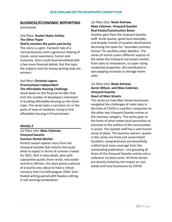# **BUSINESS/ECONOMIC REPORTING**

*(continued)*

# *2nd Place:* **Avalon Styles-Ashley**, **The Other Paper**

**SheFly smashes the pants patriarchy** This story is a gem. Fantastic tale of a startup business with a generous helping of moxie, social awareness, humor and humanity. Story could have benefitted with a few more financial details. But the topic, the subjects and the breezy writing style are winners.

#### *3rd Place:* **Christine Legere**, **Provincetown Independent The Affordable Housing Challenge**

Good detail on the financial hurdles that limit the number of developers interested in building affordable housing on the Outer Cape. The series lacks a narrative arc or the point of view of residents trying to find affordable housing in Provincetown.

#### *Weekly 2*

#### *1st Place (tie):* **Maia Coleman**, **Vineyard Gazette Summer Rental Market**

Perfect season-opener story from the Vineyard Gazette that informs the locals what to expect in terms of summer crowds for 2021. Rich in data detail, alive with substantive quotes from rental, real estate and ferry officials, this story paints a picture of a tourist area about to have a robust recovery from Co=OID-plagues 2020. Surefooted writing paired with flawless editing. A real winning combination.

#### *1st Place (tie):* **Noah Asimow, Maia Coleman**, **Vineyard Gazette Real Estate/Construction Boom**

Another gem from the Vineyard Gazette staff. Great quotes, good local examples, and broader trends of vacation destinations becoming hot spots for "secondary primary homes" for wealthy urban dwellers. The series of stories covers different aspects of the white-hot Vineyard real estate market, from sales to renovations, to super-sizing residential properties. All contributed to eye-popping increases in average home sales.

#### *1st Place (tie):* **Noah Asimow, Aaron Wilson, and Maia Coleman**, **Vineyard Gazette Heart of Main Streets**

This series on how Main Street businesses navigated the challenges of retail sales in the time of COVID is a perfect companion to the other two Vineyard Gazette entries in this business category. This series goes to the heart of what makes local journalism so essential to the welfare of the communities it serves. The Gazette staff has a well-honed sense of place. The business owners' quotes in this series are frank and unvarnished. Excellent, comprehensive and beautifully crafted local news coverage from this outstanding publication. I am grouping all three of the Vineyard Gazette entries into a collective 1st place prize. All three stories are directly linked by the impact on real estate and local businesses by COVID.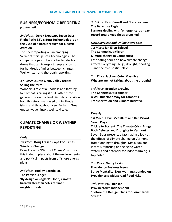# **BUSINESS/ECONOMIC REPORTING**

*(continued)*

#### *2nd Place:* **Derek Brouwer, Seven Days Flight Path: BTV's Beta Technologies Is on the Cusp of a Breakthrough for Electric Aviation**

Top shelf reporting on an emerging Vermont startup Beta Technologies. The company hopes to build a better electric drone that can transport people or cargo for hundreds of miles between charges. Well written and thorough reporting.

#### *3 rd Place:* **Lauren Clem, Valley Breeze Selling the farm**

Wonderful tale of a Rhode Island farming family that is calling it quits after three generations on the land. Rich data detail on how this story has played out in Rhode island and throughout New England. Great quotes woven into a well-told tale.

# **CLIMATE CHANGE OR WEATHER REPORTING**

#### *Daily*

#### *1st Place:* **Doug Fraser**, **Cape Cod Times Winds of Change**

Doug Fraser's "Winds of Change" wins for this in depth piece about the environmental and political impacts from off shore energy plans.

*2nd Place:* **Hadley Barndollar**, **The Patriot Ledger 'By design or neglect': Flood, climate hazards threaten MA's redlined neighborhoods**

*3rd Place:* **Felix Carroll and Greta Jochem**, **The Berkshire Eagle Farmers dealing with 'emergency' as nearrecord totals keep fields drenched**

#### *News Services and Online News Sites*

*1st Place:* **Jan Ellen Spiegel**, **The Connecticut Mirror Climate change in Connecticut** Fascinating series on how climate change affects everything –bugs, drought, flooding – and the role politics plays.

*2nd Place:* **Jackson Cote**, **MassLive Why are we not talking about the drought?**

*3rd Place:* **Brendan Crowley**, **The Connecticut Examiner A Will But Not a Way for Lamont's Transportation and Climate Initiative**

#### *Weekly*

*1st Place:* **Kevin McCallum and Ken Picard**, **Seven Days Trickle to Torrent: The Climate Crisis Brings Both Deluges and Droughts to Vermont** Seven Days presents a fascinating a look at the effects of climate change on Vermont – from flooding to droughts. McCallum and Picard's reporting on the aging water systems and potential for indoor farming is top notch.

*2nd Place:* **Nancy Lavin**, **Providence Business News Surge Mentality: New warning sounded on Providence's widespread flood risks**

*3rd Place:* **Paul Benson**, **Provincetown Independent "Before the Deluge: Plans for Commercial Street"**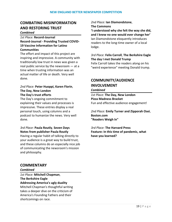# **COMBATING MISINFORMATION AND RESTORING TRUST**

#### *Combined*

#### *1st Place:* **Record-Journal Record-Journal - Providing Trusted COVID-19 Vaccine Information for Latino Communities**

The effort and impact of this project are inspiring and impressive. A community with traditionally low trust in news was given a real public service by the newsroom — at a time when trusting information was an actual matter of life or death. Very well done.

#### *2nd Place:* **Peter Huoppi, Karen Florin**, **The Day, New London The Day's trust efforts**

The Day's ongoing commitment to explaining their values and processes is impressive. These entries display a real personal touch, using columns and a podcast to humanize the news. Very well done.

#### *3rd Place:* **Paula Routly**, **Seven Days Notes from publisher Paula Routly**

Having a regular habit of talking directly to your audience is a great way to build trust, and these columns do an especially nice job of communicating the newsroom's mission and philosophy.

# *2nd Place:* **Ian Diamondstone**,

**The Commons**

**'I understood why she felt the way she did, and I knew no one would ever change her'** Ian Diamondstone eloquently introduces readers to the long-time owner of a local lodge.

# *3rd Place:* **Felix Carroll**, **The Berkshire Eagle The day I met Donald Trump**

Felix Carroll takes the readers along on his "weird experience" meeting Donald trump.

# **COMMUNITY/AUDIENCE INVOLVEMENT**

#### *Combined*

*1st Place:* **The Day, New London Pizza Madness Bracket** Fun and effective audience engagement!

*2nd Place:* **Emily Turner and Zipporah Osei**, **Boston.com "Readers Weigh In"**

*3rd Place:* **The Harvard Press Feature: In this time of pandemic, what have you learned?**

# **COMMENTARY**

*Combined*

*1st Place:* **Mitchell Chapman**, **The Berkshire Eagle Addressing America's ugly duality** Mitchell Chapman's thoughtful writing takes a deeper dive on the criticism of America's Founding Fathers and their shortcomings on race.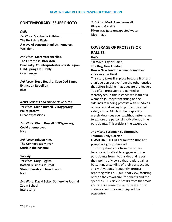# **CONTEMPORARY ISSUES PHOTO**

#### *Daily*

*1st Place:* **Stephanie Zollshan**, **The Berkshire Eagle A wave of concern blankets homeless** Well done

*2nd Place:* **Marc Vasconcellos**, **The Enterprise, Brockton Dual Rally: Counterprotesters crash Legion Field Spring FREE Rally** Good image

*3rd Place:* **Steve Heaslip**, **Cape Cod Times Extinction Rebellion** nice

#### *News Services and Online News Sites*

*1st Place:* **Glenn Russell**, **VTDigger.org Police protest** Great expressions

*2nd Place:* **Glenn Russell**, **VTDigger.org Covid unemployed** Nice

*3rd Place:* **Yehyun Kim**, **The Connecticut Mirror Stuck in the hospital**

#### *Weekly*

*1st Place:* **Gary Higgins**, **Boston Business Journal Street ministry in New Haven** Nice

*2nd Place:* **David Sokol**, **Somerville Journal Zoom School** Interesting

*3rd Place:* **Mark Alan Lovewell**, **Vineyard Gazette Bikers navigate unexpected water**  Nice image

# **COVERAGE OF PROTESTS OR RALLIES**

#### *Daily*

*1st Place:* **Taylor Hartz**, **The Day, New London How a New London woman found her voice as an activist**

This story takes first place because it offers a unique perspective from the other entries that offers insights that educate the reader. Too often protesters are painted as stereotypes. In this instance we learn of a woman's journey from sitting on the sidelines to leading protests with hundreds of people and willing to put her personal safety at risk. Much protest reporting merely describes events without attempting to explore the personal motivations of the participants. This article is the exception.

# *2nd Place:* **Susannah Sudborough**, **Taunton Daily Gazette CLASH ON THE GREEN Taunton BLM and**

**pro-police groups face off**  This story stands our from the others because of its effort to engage with the participants from both sides and report their points of view so that readers gain a better understanding of their perspectives and motivations. Frequently, protest reporting takes a 10,000-foot view, focusing only on the crowd-size, the chants and the speeches. This article breaks from that mold and offers a sense the reporter was truly curious about the event beyond the pageantry.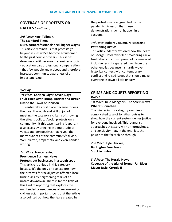# **COVERAGE OF PROTESTS OR**

**RALLIES** *(continued)*

# *3rd Place:* **Kerri Tallman**, **The Standard-Times**

**NBPS paraprofessionals seek higher wages** This article reminds us that protests go beyond issues we've become accustomed to the past couple of years. This series deserves credit because it examines a topic - education paraprofessional compensation - that few people know about and therefore increases community awareness of an important issue.

#### *Weekly*

#### *1st Place:* **Chelsea Edgar**, **Seven Days Fault Lines Over Trump, Racism and Justice Divide the Town of Johnson**

This entry takes first place because it does the most thorough and skillful job of meeting the category's criteria of showing the effects political/social protests on a community - it this case, tearing it apart. It also excels by bringing in a multitude of voices and perspectives that reveal the many nuances of the community's divide. Well-crafted, empathetic and even-handed writing.

#### *2nd Place:* **Nancy Lavin, Providence Business News Protests put businesses in a tough spot**

This article is unique in this category because it's the only one to explore how the protests for racial justice affected local businesses by heightening fears of an unsafe downtown. There is far too little of this kind of reporting that explores the unintended consequences of well-meaning civil unrest. Important too is that the article also pointed out how the fears created by

the protests were augmented by the pandemic. A lesson that these demonstrations do not happen in a vacuum.

#### *3rd Place:* **Robert Cocuzzo**, **N-Magazine Petitioning Justice**

This article adeptly explored how the death of George Floyd rekindled smoldering racial frustrations in a town proud of its veneer of inclusiveness. It separated itself from the other entries because it smartly wove historical context with contemporary conflict and raised issues that should make everyone in town a little uneasy.

# **CRIME AND COURTS REPORTING** *Daily 1*

#### *1st Place:* **Julie Manganis**, **The Salem News Where's Jonathan**

The winner in this category examines complicated case of Jonathan Jutras to show how the current system denies justice for everyone involved. This journalist approaches this story with a thoroughness and sensitivity that, in the end, lets the power of the facts shine through.

*2nd Place:* **Kyle Stucker**, **Burlington Free Press Stuck in limbo**

*3rd Place:* **The Herald News Coverage of the trial of former Fall River Mayor Jasiel Correia II**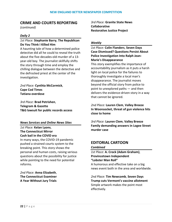# **CRIME AND COURTS REPORTING**

*(continued)*

#### *Daily 2*

#### *1st Place:* **Stephanie Barry**, **The Republican Do You Think I Killed Him**

A haunting tale of how a determined police detective did all he could to reveal the truth about the five-decades-old murder of a 13 year-old boy. The journalist skillfully shifts the story through time and employ the chilling dialogue between the detective and the defrocked priest at the center of the investigation.

*2nd Place:* **Cynthia McCormick**, **Cape Cod Times Tatiana overdose**

*3rd Place:* **Brad Petrishen**, **Telegram & Gazette T&G lawsuit for public records access**

#### *News Services and Online News Sites*

*1st Place:* **Kelan Lyons**, **The Connecticut Mirror Cash bail in the COVID era**

In many ways, the COVID-19 pandemic pushed a strained courts system to the breaking point. This story shows the personal and human costs, raising serious questions about the possibility for justice while pointing to the need for potential reforms.

*2nd Place:* **Anna Elizabeth**, **The Connecticut Examiner A Year Without Jury Trials** *3rd Place:* **Granite State News Collaborative Restorative Justice Project**

#### *Weekly*

#### *1st Place:* **Colin Flanders**, **Seven Days Case Dismissed? Questions Persist About Police Investigation Into Ralph Jean-Marie's Disappearance**

This story exemplifies the importance of accountability journalism as it puts a harsh light on local police for the failures to thoroughly investigate a local man's disappearance. The journalist moves beyond the official story from police to point to unexplored paths — and then delivers the evidence-driven story in a way that cannot be ignored.

*2nd Place:* **Lauren Clem**, **Valley Breeze In Woonsocket, threat of gun violence hits close to home**

*3rd Place:* **Lauren Clem**, **Valley Breeze Family demanding answers in Logee Street murder case**

# **EDITORIAL CARTOON** *Combined*

*1st Place:* **A. Crock (Adam Graham)**, **Provincetown Independent "Lobster Man Roll"**

A humorous and effective take on a big news event both in the area and worldwide.

*2nd Place:* **Tim Newcomb**, **Seven Days Trump cuts Vermont's vaccine allotment** Simple artwork makes the point most effectively.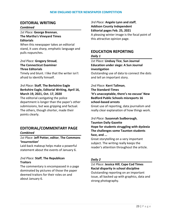# **EDITORIAL WRITING**

#### *Combined*

#### *1st Place:* **George Brennan**, **The Martha's Vineyard Times Editorials**

When this newspaper takes an editorial stand, it uses sharp, emphatic language and pulls nopunches.

*2nd Place:* **Gregory Stroud**, **The Connecticut Examiner Three Editorials**

Timely and blunt. I like that the writer isn't afraid to identify himself.

#### *3rd Place:* **Staff**, **The Berkshire Eagle Berkshire Eagle, Editorial Writing, April 16, March 19, 2021, Oct. 17, 2020**

The editorial castigating the police department is longer than the paper's other submissions, but was gripping and factual. The others, though shorter, made their points clearly.

# **EDITORIAL/COMMENTARY PAGE** *Combined*

#### *1st Place:* **Jeff Potter, editor**, **The Commons 'Insurrection'**

Laid-back makeup helps make a powerful statement about the events of January 6.

#### *2nd Place:* **Staff**, **The Republican Traitors**

The commentary is encompassed in a page dominated by pictures of those the paper deemed traitors for their roles on and about January 6.

*3rd Place:* **Angelo Lynn and staff**, **Addison County Independent Editorial pages Feb. 25, 2021** A pleasing winter image is the focal point of this attractive opinion page.

# **EDUCATION REPORTING**

#### *Daily 1*

*1st Place:* **Lindsay Tice**, **Sun Journal Education under siege: A Sun Journal investigation**

Outstanding use of data to connect the dots and tell an important story.

*2nd Place:* **Kerri Tallman**, **The Standard-Times 'It's unacceptable, there's no excuse' New Bedford Public Schools misreports 16 school-based arrests**

Great use of reporting, data journalism and really clear explanation of how things work.

# *3rd Place:* **Susannah Sudborough**, **Taunton Daily Gazette**

**Hope for students struggling with dyslexia The challenges some Taunton students face, and ...**

Great storytelling on a very important subject. The writing really keeps the reader's attention throughout the article.

#### *Daily 2*

*1st Place:* **Jessica Hill**, **Cape Cod Times Racial disparity in school discipline** Outstanding reporting on an important issue, all backed up with graphics, data and strong photography.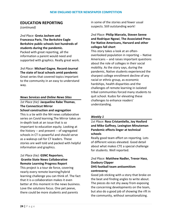# **EDUCATION REPORTING**

*(continued)*

*2nd Place:* **Greta Jochem and Francesca Paris**, **The Berkshire Eagle Berkshire public schools lost hundreds of students during the pandemic.**  Packed with great reporting, all the information a parent would need and supported with graphics. Really great work.

*3rd Place:* **Michael Gagne**, **Record-Journal The state of local schools amid pandemic** Great series that covered topics important to the community in an easy to understand way.

#### *News Services and Online News Sites*

# *1st Place (tie):* **Jacqueline Rabe Thomas**, **The Connecticut Mirror**

**School construction and segregation** This is a tie with the NH news collaborative series on Covid learning.The Mirror takes an in-depth look at an issue that is so important to education equity. Looking at the history -- and present -- of segregated schools in CT is powerful and should serve as a wakeup call for CT leaders. These stories are well told and packed with helpful information and graphics.

#### *1st Place (tie):* **GSNC Reporters**, **Granite State News Collaborative Remote Learning Progress Report**

This project is a tour de force, covering nearly every remote learning/hybrid learning challenge you can think of. The fact that it is a collaboration makes it even better at this moment in the news business. Love the solutions focus. One pet peeve, there could be more students and parents

in some of the stories and fewer usual suspects. Still outstanding work!

#### *2nd Place:* **Philip Marcelo, Steven Senne and Rodrique Ngowi**, **The Associated Press For Native Americans, Harvard and other colleges fall short**

This story takes a look at an oftenoverlooked population in reporting -- Native Americans -- and raises important questions about the role of colleges in their social mobility. As the story says, during the pandemic, Native students experienced the sharpest college enrollment decline of any racial or ethnic group, as economic hardships, health disparities and the challenges of remote learning in isolated tribal communities forced many students to quit school. Kudos for elevating these challenges to enhance readers' understanding.

#### *Weekly 1*

#### *1st Place:* **Ross Cristantiello, Joy Hosford and Mike Gaffney**, **Lexington Minuteman Pandemic effects linger at technical schools**

Really good team effort on reporting. Lots of different voices elevated. Good detail about what makes CTE a special challenge for students. Well reported.

#### *2nd Place:* **Matthew Nadler, Trevor Hass**, **Duxbury Clipper DHS football team antisemitism controversy**

# Good job sticking with a story that broke on the beat and finding angles to write about. The pieces do not shy away from exposing the concerning developments on the team, but also do a good job of showing the rift in

the community, without sensationalizing.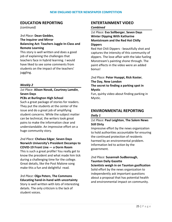# **EDUCATION REPORTING**

*(continued)*

#### *3rd Place:* **Dean Geddes**, **The Inquirer and Mirror Balancing Act: Teachers Juggle In-Class and Remote Learning**

This story is well written and does a good job of explaining the challenges that teachers face in hybrid learning. I would have liked to see some comments from students on the impact of the teachers' juggling.

#### *Weekly 2*

# *1st Place:* **Alison Novak, Courtney Lamdin**, **Seven Days**

#### **PCBs at Burlington High School**

Such a great package of stories for readers. They put the students at the center of the issue and do a great job of amplifying student concerns. While the subject matter can be technical, the writers took great pains to make the information clear and understandable. An impressive effort on a huge community story.

#### *2nd Place:* **Chelsea Edgar**, **Seven Days Norwich University's President Decamps to COVID-19 Front Line — a Dorm Room**

This is such a great profile! You really get to know the president and what made him tick during a challenging time for the college. Great details, like the Post Malone song make this a fun and delightful read.

# *3rd Place:* **Olga Peters**, **The Commons Educating hand-in-hand with uncertainty**

Story is well written with lots of interesting details. The only criticism is the lack of student voices.

# **ENTERTAINMENT VIDEO**

#### *Combined*

#### *1st Place:* **Eva Sollberger**, **Seven Days Winter Dipping With Katharine Montstream and the Red Hot Chilly Dippers**

Red Hot Chili Dippers - beautifully shot and captures the intensity of this community of dippers. The love affair with the lake fueling Monstream's painting shone through. The paint effects in the video were an added bonus!

# *2nd Place:* **Peter Huoppi, Rick Koster**, **The Day, New London**

**The secret to finding a parking spot in Mystic**

Fun, quirky video about finding parking in Mystic.

## **ENVIRONMENTAL REPORTING** *Daily 1*

#### *1st Place:* **Paul Leighton**, **The Salem News Still Dirty**

Impressive effort by the news organization to hold authorities accountable for ensuring the continued protection of residents harmed by an environmental problem. Information led to action by the government.

#### *2nd Place:* **Susannah Sudborough**, **Taunton Daily Gazette**

**Scientists weigh in on Taunton gasification** Solid effort by the news organization to independently ask important questions about a proposal that has potential health and environmental impact on community.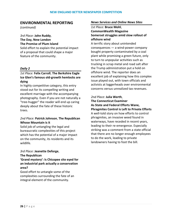# **ENVIRONMENTAL REPORTING**

*(continued)*

# *3rd Place:* **John Ruddy**, **The Day, New London The Promise of Plum Island**

Solid effort to explain the potential impact of a proposal that could shape a major feature of the community.

#### *Daily 2*

#### *1st Place:* **Felix Carroll**, **The Berkshire Eagle Ice Glen's famous old-growth hemlocks are dying**

In highly competitive category, this entry stood out for its compelling writing and excellent marriage with the accompanying photography. Even if you are not naturally a "tree-hugger" the reader will end up caring deeply about the fate of these historic trees.

#### *2nd Place:* **Patrick Johnson**, **The Republican Whose Mountain is it**

Solid job of untangling the legal and bureaucratic complexities of this project which has the potential of a major impact on the community, its residents and its wildlife.

#### *3rd Place:* **Jeanette Deforge**, **The Republican**

**'Grand mystery': Is Chicopee site eyed for an industrial park actually a conservation area?**

Good effort to untangle some of the complexities surrounding the fate of an integral element of the community.

#### *News Services and Online News Sites*

#### *1st Place:* **Bruce Mohl**, **CommonWealth Magazine Somerset struggles amid slow rollout of offshore wind**

A terrific story about unintended consequences — a wind-power company bought property contaminated by a coal plant while promising a green future, only to turn to unpopular activities such as trucking in scrap metal and road salt after the Trump administration put a hold on offshore wind. The reporter does an excellent job of explaining how this complex issue played out, with town officials and activists at loggerheads over environmental concerns versus unrealized tax revenues.

## *2nd Place:* **Julia Werth**, **The Connecticut Examiner As State and Federal Efforts Wane,**

**Phragmites Control is Left to Private Efforts** A well-told story on how efforts to control phragmites, an invasive weed found in waterways, have receded in recent years, leading to their re-emergence. Especially striking was a comment from a state official that there are no longer enough employees to do the work, leading to private landowners having to foot the bill.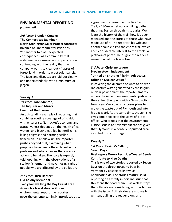# **ENVIRONMENTAL REPORTING**

*(continued)*

*3rd Place:* **Brendan Crowley**, **The Connecticut Examiner North Stonington Solar Project Attempts Balance of Environmental Priorities** Yet another tale of unexpected consequences, as a community that welcomed a solar-energy company is now contending with the reality that the company wants to clear-cut 44 acres of forest land in order to erect solar panels. The facts and disputes are laid out clearly and understandably, with a minimum of jargon.

#### *Weekly 1*

# *1st Place:* **John Stanton**, **The Inquirer and Mirror Health of the Harnor**

An outstanding example of reporting that combines routine coverage of officialdom with enterprise. Nantucket's economy and attractiveness depends on the health of its waters, and black algae fed by fertilizer is killing eelgrass and harming scallop fishermen. In a follow-up, the reporter pushes beyond that, examining what proposals have been offered to solve the problem and what chances there are for action to be taken. The story is expertly told, opening with the observations of a scallop fisherman and never losing sight of people who are affected by the pollution.

#### *2nd Place:* **Rich Harbert**, **Old Colony Memorial Two years walking the Bay Circuit Trail** As much a travel story as it is an

environmental report, the reporter nevertheless entertainingly introduces us to a great natural resource: the Bay Circuit Trail, a 230-mile network of hiking paths that ring Boston through its suburbs. We learn the history of the trail, how it's been managed and the stories of those who have made use of it. The reporter, his wife and another couple hiked the entire trail, which adds considerable interest to the article. A plethora of photos helps give the reader a sense of what the trail is like.

## *3rd Place:* **Christine Legere**, **Provincetown Independent "United on Shutting Pilgrim, Advocates Differ on Nuclear Waste"**

In covering the dilemma of what to do with radioactive waste generated by the Pilgrim nuclear power plant, the reporter smartly moves the issue of environmental justice to the center. She opens with a Navajo activist from New Mexico who opposes plans to move the waste out of Plymouth and into his backyard. At the same time, though, she gives ample space to the views of a local official who argues that the environmental justice issue is an "oversimplification" given that Plymouth is a densely populated area ill-suited to such storage.

#### *Weekly 2*

#### *1st Place:* **Kevin McCallum**, **Seven Days Beekeepers Worry Pesticide-Treated Seeds Contribute to Hive Deaths**

This is one of two stories reported by Seven Days on the threat posed to bees in Vermont by pesticides known as neonicotinoids. The stories feature solid reporting on a vitally important issue that threatens the food chain  $-$  as well as steps that officials are considering in order to deal with the issue. Both stories are also wellwritten, pulling the reader along and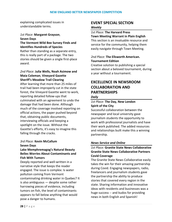explaining complicated issues in understandable terms.

#### *1st Place:* **Margaret Grayson**, **Seven Days**

## **The Vermont Wild Bee Survey Finds and Identifies Hundreds of Species**

Rather than standing as a separate entry, this is really part of a package. The two stories should be given a single first-place award.

#### *2nd Place:* **Julia Wells, Noah Asimow and Maia Coleman**, **Vineyard Gazette Sheriff's Meadow Trail Clearing**

After learning that more than 25 miles of trail had been improperly cut in the state forest, the Vineyard Gazette went to work, reporting detailed follow-ups that culminated with an agreement to undo the damage that had been done. Although much of the coverage involved reporting on official actions, the paper pushed beyond that, obtaining public documents, interviewing officials and keeping a spotlight on the issue. Without the Gazette's efforts, it's easy to imagine this falling through the cracks.

#### *3rd Place:* **Kevin McCallum Seven Days**

#### **Lake Memphremagog's Natural Beauty Belies Worries About Contaminants and Fish With Tumors**

Deeply reported and well-written in a narrative style that keeps the reader engaged. The issue is complex: Is water pollution coming from Vermont contaminating drinking water in Quebec? It is also ambiguous — despite some rather harrowing pieces of evidence, including tumors on fish, the level of contaminants appears to fall below anything that would pose a danger to humans.

# **EVENT SPECIAL SECTION**

#### *Weekly*

#### *1st Place:* **The Harvard Press**

**Town Meeting Warrant in Plain English** This section is an invaluable resource and service for the community, helping them easily navigate through Town Meeting.

#### *2nd Place:* **The Ellsworth American. Tournament Edition**

Creative solution to publishing a special section about a beloved tournament, during a year without a tournament.

# **EXCELLENCE IN NEWSROOM COLLABORATION AND PARTNERSHIPS**

#### *Daily*

# *1st Place:* **The Day, New London Spirit of the City**

Successful collaboration between the newspaper and local university gave journalism students the opportunity to work with professional journalists and have their work published. The added resources and relationships built make this a winning partnership.

#### *News Service and Online*

## *1st Place:* **Granite State News Collaborative Granite State News Collaborative Partners Covid Coverage**

The Granite State News Collaborative easily takes the win for their amazing partnership during Covid. Engaging newspapers, radio, freelancers and journalism students gave the partnership the ability to produce stories that covered every region in the state. Sharing information and innovative ideas with residents and businesses was a huge success -- and kudos for providing news in both English and Spanish!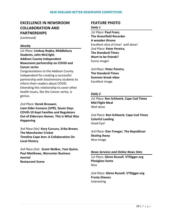# **EXCELLENCE IN NEWSROOM COLLABORATION AND PARTNERSHIPS**

*(continued)*

#### *Weekly*

*1st Place:* **Lindsay Repka, Middlebury Students, John McCright**, **Addison County Independent Newsroom partnership on COVID and Cancer series**

Congratulations to the Addison County Independent for creating a successful partnership with biochemistry students to inform their readers about COVID. Extending this relationship to cover other health issues, like the Cancer series, is genius.

*2nd Place:* **Derek Brouwer, Liam Elder-Connors (VPR)**, **Seven Days COVID-19 Kept Families and Regulators Out of Eldercare Homes. This Is What Was Happening**

*3rd Place (tie):* **Kory Curcuru, Erika Brown**, **The Manchester Cricket Timeline Cape Ann: A Collaboration On Local History**

*3rd Place (tie):* **Grant Welker, Tom Quinn, Paul Matthews, Worcester Business Journal Restaurant Scene**

# **FEATURE PHOTO**

#### *Daily 1*

*1st Place:* **Paul Franz**, **The Greenfield Recorder A wooden throne** Excellent slice of time! well done! *2nd Place:* **Peter Pereira**, **The Standard-Times Want to be friends?** funny image!

*3rd Place:* **Peter Pereira**, **The Standard-Times Summer break vibes** Excellent image

#### *Daily 2*

*1st Place:* **Ron Schloerb**, **Cape Cod Times Mid Flight Meal** Well done

*2nd Place:* **Ron Schloerb**, **Cape Cod Times Colorful Landing** Good Eye!

*3rd Place:* **Don Treeger**, **The Republican Skating Away** Nice image

#### *News Services and Online News Sites*

*1st Place:* **Glenn Russell**, **VTDigger.org Plexiglass Santa** Nice

*2nd Place:* **Glenn Russell**, **VTDigger.org Frosty Glasses** Interesting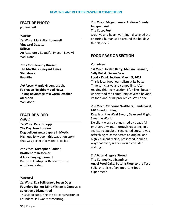## **FEATURE PHOTO**

*(continued)*

#### *Weekly*

*1st Place:* **Mark Alan Lovewell**, **Vineyard Gazette Eclipse** An Absolutely Beautiful Image! Lovely! Well Done!

*2nd Place:* **Jeremy Driesen**, **The Martha's Vineyard Times Star struck Beautiful!** 

*3rd Place:* **Margie Green Joseph**, **Fairhaven Neighborhood News Taking advantage of a warm October afernoon** Well done!

# **FEATURE VIDEO**

*Daily 1*

*1st Place:* **Peter Huoppi**, **The Day, New London Dog delivers newspapers in Mystic** High quality video – this was a fun story that was perfect for video. Nice job!

*2nd Place:* **Kristopher Radder**, **Brattleboro Reformer A life changing moment** Kudos to Kristopher Radder for this emotional video.

#### *Weekly 2*

## *1st Place:* **Eva Sollberger**, **Seven Days Founders Hall on Saint Michael's Campus Is Selectively Dismantled**

This video capturing the de-construction of Founders Hall was mesmerizing!

*2nd Place:* **Megan James**, **Addison County Independent The CocoaPort**

Creative and heart-warming - displayed the enduring human spirit around the holidays during COVID.

# **FOOD PAGE OR SECTION**

#### *Combined*

# *1st Place:* **Jordan Barry, Melissa Pasanen, Sally Pollak**, **Seven Days**

**Food + Drink Section, March 3, 2021**

This is local food journalism at its best: Timely, inclusive and compelling. After reading this lively section, I felt like I better understood the community covered beyond its food-and-drink proclivities. Well done.

# *2nd Place:* **Catherine Walthers, Randi Baird**, **MV Bluedot Living**

#### **Kelp is on the Way! Savory Seaweed Might Save the World**

Excellent work distinguished by beautiful photography and thorough reporting. In a sea (so to speak) of syndicated copy, it was refreshing to come across an original and highly current recipe, presented in such a way that every reader would consider making it.

*3rd Place:* **Gregory Stroud**, **The Connecticut Examiner Angel Food Cake, Putting Flour to the Test** Solid chronicle of an important food experiment.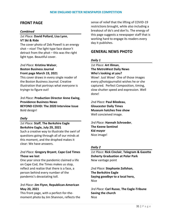# **FRONT PAGE**

#### *Combined*

#### *1st Place:* **David Pollard, Lisa Lynn**, **VT Ski & Ride**

The cover photo of Zeb Powell is an energy shot – nice! The light type face doesn't detract from the phot – this was the right light type. Beautiful cover.

#### *2nd Place:* **Kristina Walser**, **Boston Business Journal Front page March 19, 2021**

This cover draws in every single reader of the Boston Business Journal. Creative illustration that portrays what everyone is tryingn to figure out!

*3rd Place:* **Production Director Anne Ewing**, **Providence Business News BEYOND COVID: The 2020 Interview Issue** Bold design!

#### *Daily*

#### *1st Place:* **Staff**, **The Berkshire Eagle Berkshire Eagle, July 29, 2021**

Such a creative way to illustrate the swirl of questions going through all of our minds at this moment, and the drophed makes it clear: We have answers.

#### *2nd Place:* **Gregory Bryant**, **Cape Cod Times Those we lost**

One year since the pandemic claimed a life on Cape Cod, the Times makes us stop, reflect and realize that there is a face, a person behind every number of the pandemic's devastating toll.

#### *3rd Place:* **Jim Flynn**, **Republican-American May 20, 2021**

This front page, with a perfect-for-themoment photo by Jim Shannon, reflects the sense of relief that the lifting of COVID-19 restrictions brought, while also including a breakout of do's and don'ts. The energy of this page suggests a newspaper staff that is working hard to engage its readers every day it publishes.

# **GENERAL NEWS PHOTO**

#### *Daily 1*

#### *1st Place:* **Art Illman**, **The MetroWest Daily News Who's looking at you?**

Wow! Just Wow! One of those images every p[hotojpurnalist wishes he or she captured. Perfect Composition, timing, slow shutter speed and expression. Well done!

*2nd Place:* **Paul Bilodeau**, **Gloucester Daily Times Museum hatches free show** Well concieived image.

*3rd Place:* **Hannah Schroeder**, **The Keene Sentinel Kid mayor** Nice image!

#### *Daily 2*

*1st Place:* **Rick Cinclair**, **Telegram & Gazette Doherty Graduation at Polar Park** New vantage point

*2nd Place:* **Stephanie Zollshan**, **The Berkshire Eagle Saying goodbye to a local hero,**  Nice

*3rd Place:* **Carl Russo**, **The Eagle-Tribune Saving the church** Nice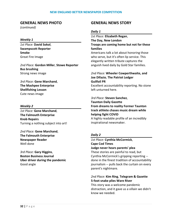# **GENERAL NEWS PHOTO**

*(continued)*

#### *Weekly 1*

*1st Place:* **David Sokol**, **Swampscott Reporter Smoke** Great Fire Image

*2nd Place:* **Gordon Miller**, **Stowe Reporter Bus brushing** Strong news image

*3rd Place:* **Gene Marchand**, **The Mashpee Enterprise Shellfishing Lesson** Cute news image

#### *Weekly 2*

*1st Place:* **Gene Marchand**, **The Falmouth Enterprise Knob Repairs** Turning a nothing subject into art!

*2nd Place:* **Gene Marchand**, **The Falmouth Enterprise Newspaper Reader** Well done

*3rd Place:* **Gary Higgins**, **Boston Business Journal Uber driver during the pandemic** Good angle

# **GENERAL NEWS STORY**

#### *Daily 1*

*1st Place:* **Elizabeth Regan**, **The Day, New London Troops are coming home but not for these families**

Americans talk a lot about honoring those who serve, but it's often lip service. This elegantly written tribute captures the anguish lived daily by Gold Star families.

# *2nd Place:* **Wheeler Cowperthwaite, and Joe Difazio**, **The Patriot Ledger Guilfoil PR**

Excellent accountability reporting. No stone left unturned here.

# *3rd Place:* **Steven Sanchez**,

**Taunton Daily Gazette From dreams to reality Former Taunton track athlete chases music dream while helping fight COVID**

A highly readable profile of an incredibly inspirational newsmaker.

#### *Daily 2*

# *1st Place:* **Cynthia McCormick**, **Cape Cod Times Judge never hears parents' plea** These stories are painful to read, but Cynthia McCormick's gripping reporting - done in the finest tradition of accountability journalism -- pulls back the curtain on every parent's nightmare.

# *2nd Place:* **Kim Ring**, **Telegram & Gazette 5-foot snake plies Ware River**

This story was a welcome pandemic distraction, and it gave us a villain we didn't know we needed.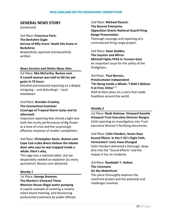# **GENERAL NEWS STORY**

*(continued)*

*3rd Place:* **Francesca Paris**, **The Berkshire Eagle Sorrow of Billy Evans' death hits home in Berkshires** Respectfully reported and beautifully written.

#### *News Services and Online News Sites*

*1st Place:* **Mia McCarthy**, **Boston.com A Lowell woman was told to kill her pet goats in 72 hours**

Detailed and textured reporting on a deeply intriguing -- and disturbing! -- local showdown.

#### *2nd Place:* **Brendan Crowley**, **The Connecticut Examiner Coverage of Tropical Storm Isaias and its aftermath**

Important reporting that shined a light into both the murky performance of Big Power at a time of crisis and the surprisingly effective response of smaller competitors.

#### *3rd Place:* **Christopher Gavin**, **Boston.com Cape Cod scuba divers believe the lobster diver who says he was trapped inside a whale. Here's why.**

This saga was a national talker, but we desperately needed an explainer (so many questions!). Boston.com delivered.

#### *Weekly 1*

*1st Place:* **George Brennan**, **The Martha's Vineyard Times Mansion House illegal water pumping** A superb example of covering a routine select board meeting, and discovering preferential treatment by public officials. *2nd Place:* **Michael Rausch**, **The Bourne Enterprise Opposition Greets National Guard Firing Range Presentation** Thorough coverage and reporting of a controversial firing range project.

*2nd Place:* **Dean Geddes**, **The Inquirer and Mirror Mitchell Fights PFAS in Turnout Gear** An important issue for the safety of the firefighters.

3rd Place: **Paul Benson, Provincetown Independent "On Being Inside a Whale: 'I Didn't Believe It at First, Either' "** Well written piece on a story that made headlines around the world.

#### *Weekly 2*

*1st Place:* **Noah Asimow**, **Vineyard Gazette Vineyard Trust Executive Director Resigns** Solid reporting on investigation into Trust executive director's falsifying documents.

*2nd Place:* **Colin Flanders**, **Seven Days Sound Effects: In the F-35's Flight Path, Vermonters' Lives Have Changed**

Colin Flanders delivered a thorough, deep dive into the "Sound Effects" and the impact it has on residents.

*3rd Place:* **Randolph T. Holhut**, **The Commons On the Waterfront**

This piece thoroughly explores the riverfront project and the potential and challenges involved.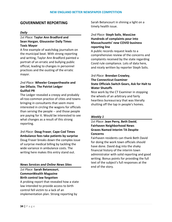# **GOVERNMENT REPORTING**

#### *Daily*

#### *1st Place:* **Taylor Ann Bradford and Sean Horgan**, **Gloucester Daily Times Toxic Mayor**

A fine example of watchdog journalism on the municipal beat. With strong reporting and writing, Taylor Ann Bradford painted a portrait of an erratic and bullying public official, leading to changes in personnel practices and the ousting of the erratic mayor.

#### *2nd Place:* **Wheeler Cowperthwaite and Joe Difazio**, **The Patriot Ledger Guilfoil PR**

The Ledger revealed a creepy and probably all-too-common practice of cities and towns bringing in consultants that seem more interested in circling the wagons for officials than serving the people -- and those people are paying for it. Would be interested to see what changes as a result of this strong reporting.

#### *3rd Place:* **Doug Fraser**, **Cape Cod Times Ambulance fees take patients by surprise**

Doug Fraser breaks down the complex issue of surprise medical billing by tackling the wide variance in ambulance costs. The writing here makes this entry stand out.

#### *News Services and Online News Sites*

*1st Place:* **Sarah Betancourt**, **CommonWealth Magazine Birth control law forgotten**

A probing report that revealed how a state law intended to provide access to birth control fell victim to a lack of an implementation plan. Strong reporting by

Sarah Betancourt in shining a light on a timely health issue.

#### *2nd Place:* **Steph Solis**, **MassLive Hundreds of complaints pour into Massachusetts' new COVID business reporting line**

A public records request leads to a comprehensive review of the concerns and complaints received by the state regarding Covid rule compliance. Lots of data here, and nicely written by reporter Steph Solis.

#### *3rd Place:* **Brendan Crowley**, **The Connecticut Examiner State Officials Switch Gears, Ask for Halt to Water Shutoffs**

Nice work by the CT Examiner in stopping the wheels of an arbitrary and fairly heartless bureaucracy that was literally shutting off the tap in people's homes.

#### *Weekly 1*

#### *1st Place:* **Jean Perry, Beth David**, **Fairhaven Neighborhood News Graves Named Interim TA Despite Concerns**

Fairhaven residents can thank Beth David for doing the work town officials should have done. David dug into the shaky financial history of the interim town administrator with solid reporting and good writing. Bonus points for providing the full text of the subject's full responses at the end of the story.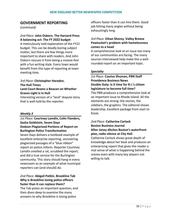# **GOVERNMENT REPORTING**

*(continued)*

#### *2nd Place:* **John Osborn**, **The Harvard Press A balancing act: The FY 2022 budget**

A meticulously told explanation of the FY22 budget. This can be deadly boring subject matter, but there are few things more important to share with readers. And John Osborn rescues it from being a snooze-fest with a fun writing style. Every town would benefit from this type of reporting at town meeting time.

#### *3rd Place:* **Christopher Haraden**, **The Hull Times Land Court Beams a Beacon on Whether Graves Light is in Hull**

Interesting version of a "land" dispute story that is well-told by the reporter.

#### *Weekly 2*

*1st Place:* **Courtney Lamdin, Colin Flanders, Sasha Goldstein**, **Seven Days Dodson Plagiarized Portions of Report on Burlington Police Transformation**

Seven Days delivers a textbook example of excellent enterprise reporting, uncovering plagiarized passages of a "blue ribbon" report on police reform. Reporter Courtney Lamdin smelled a rat, scrubbed the report, and did a true service for the Burlington community. This story should hang in every newsroom as an example of what municipal reporters can (and should) do.

## *2nd Place:* **Abigail Patkin**, **Brookline Tab Why is Brookline losing police officers faster than it can replace them?**

The Tab poses an important question, and then dives deep to examine the many answers to why Brookline is losing police

officers faster than it can hire them. Good job hitting many angles without being exhaustingly long.

#### *3rd Place:* **Ethan Shorey**, **Valley Breeze Pawtucket's problem with homelessness comes to a head**

A comprehensive look at an issue too many of our communities are facing. The many sources interviewed help make this a wellrounded report on an important topic.

#### *Specialty*

*1st Place:* **Cassius Shuman, PBN Staff Providence Business News Double Duty: Is it time for R.I.'s citizen legislature to become full time?**  The PBN produces a comprehensive look at an important issue to Rhode Island. All the elements are strong: the stories, the sidebars, the graphics. The editorial shows leadership. Excellent package from start to finish.

#### *2nd Place:* **Catherine Carlock Boston Business Journal After Janey ditches Boston's waterfront plan, radio silence at City Hall**

Catherine Carlock shows great depth of knowledge about her beat and produces an enterprising report that gives the reader a real sense of what is happening behind the scenes even with many key players not willing to talk.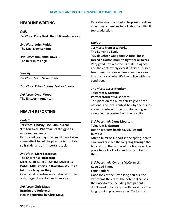#### **HEADLINE WRITING**

#### *Daily*

*1st Place:* **Copy Desk**, **Republican-American**

*2nd Place:* **John Ruddy**, **The Day, New London**

*3rd Place:* **Tim Jamiolkowski**, **The Berkshire Eagle**

*Weekly*

*1st Place:* **Staff**, **Seven Days**

*2nd Place:* **Ethan Shorey**, **Valley Breeze**

*3rd Place:* **Cyndi Wood**, **The Ellsworth American.**

#### **HEALTH REPORTING**

#### *Daily 1*

*1st Place:* **Lindsay Tice**, **Sun Journal 'I'm terrified': Pharmacists struggle as workload expands**

Fast paced, good quotes, must have taken some effort to get the pharmacists to talk so frankly. and an important topic

*2nd Place:* **Marc Larocque**, **The Enterprise, Brockton MENTAL HEALTH CRISIS INFLAMED BY PANDEMIC Experts in Brockton say 'it's a lot more busy' as they ...** Good local reporting on a national problem: a shortage of mental health services.

*3rd Place:* **Chris Mays**, **Brattleboro Reformer Health reporting by Chris Mays** Reporter shows a lot of enterprise in getting a number of families to talk about a difficult topic: addiction.

#### *Daily 2*

*1st Place:* **Francesca Paris**, **The Berkshire Eagle 'My daughter was gone:' A rare illness forced a Dalton mom to fight for answers** Very good. Explains the PANDAS diagnosis and the controversy over it. Story discusses treatment, insurance issues, and provides lots of color of what it's like to live with the condition.

# *2nd Place:* **Cyrus Moulton**, **Telegram & Gazette Perfect storm at St. Vincent**

This piece on the nurses strike gives both national and local context to why the nurses are in dispute with the hospital, along with a detailed responses from the hospital.

#### *3rd Place (tie):* **Cyrus Moulton**, **Telegram & Gazette Health workers battle COVID-19 and burnout**

After a burst of support in the spring, health care workers face the long slog through the fall and into the winter of the first year. The piece has lots of color and context.Tie for third

#### *3rd Place (tie)*: **Cynthia McCormick, Cape Cod Times Long Haulers**

Good look at the Covid long haulers, the symptoms they face, the potential causes, the uncertainty, including that patients don't need to fall very ill with covid to suffer long running problems after. Tie for third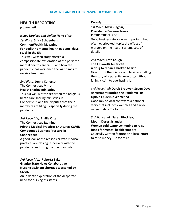# **HEALTH REPORTING**

*(continued)*

#### *News Services and Online News Sites*

# *1st Place:* **Shira Schoenberg**, **CommonWealth Magazine For pediatric mental health patients, days stuck in the ER**

This well written story offered a compassionate exploration of the pediatric mental health care crisis, and how the pandemic has worsened the wait times to receive treatment.

## *2nd Place:* **Jenna Carlesso**, **The Connecticut Mirror Health sharing ministries**

This is a well written report on the religious heath care sharing ministries in Connecticut, and the disputes that their members are filing – especially during the pandemic.

# *3rd Place (tie):* **Emilia Otte**, **The Connecticut Examiner Private Medical Practices Shutter as COVID Compounds Business Pressure in Connecticut**

A good look at the reasons private medical practices are closing, especially with the pandemic and rising malpractice costs.

# *3rd Place (tie):* **Roberta Baker, Granite State News Collaborative Nursing assistant shortage worsened by COVID**

An in depth exploration of the desperate need for nursing assistants.

### *Weekly*

# *1st Place:* **Alexa Gagosz**, **Providence Business News IS THIS THE CURE?**

Good business story on an important, but often overlooked, topic: the effect of mergers on the health system. Lots of details

## *2nd Place:* **Kate Cough**, **The Ellsworth American. A drug to repair a broken heart?**

Nice mix of the science and business, telling the story of a potential new drug without falling victim to overhyping it.

# *3rd Place (tie):* **Derek Brouwer**, **Seven Days As Vermont Battled the Pandemic, Its Opioid Epidemic Worsened**

Good mix of local context to a national story that includes examples and a wide range of data.Tie for third .

# *3rd Place (tie):* **Sarah Hinckley, Mount Desert Islander Women cold-water swimming to raise funds for mental health support** Colorfully written feature on a local effort to raise money. Tie for third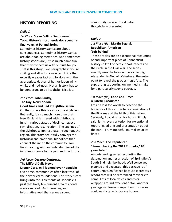# **HISTORY REPORTING**

#### *Daily 1*

## *1st Place:* **Steve Collins**, **Sun Journal Togo: History's most heroic dog spent his final years at Poland Spring**

Sometimes history stories are about consequences. Sometimes history stories are about fading memories. And sometimes history stories are just so much damn fun that they connect us with our lust for joy. That is this story. Two paragraphs in you're smiling and all in for a wonderful ride that expertly weaves fact and folklore with the appropriate dashes of humor-laden winkwinks and nod-nods. Not all history has to be ponderous to be insightful. Nice job.

## *2nd Place:* **John Ruddy**, **The Day, New London Good Times and Bad at Lighthouse Inn**

On the surface this is a story of a single inn. But really, it is so much more than that. New England is littered with Lighthouse Inns in various states of decline, neglect, revitalization, resurrection. The sublines of the Lighthouse Inn resonate throughout the region. This story beautifully conveys the historical and emotional bloodlines that connect the inn to the community. You finish reading with an understanding of the inn's importance to the past and the future.

# *3rd Place:* **Cesareo Contreras**, **The Milford Daily News**

**Draper Corp. mill loomed over Hopedale** Over time, communities often lose track of their historical foundations. This story nicely brings into focus elements of Hopedale's past that likely few current area residents were aware of. An interesting and informative read that serves a sound

community service. Good detail thoughtfully presented.

## *Daily 2*

# *1st Place (tie):* **Martin Begnal**, **Republican-American 'Left behind'**

These articles are an exceptional recounting of and important piece of Connecticut history - 14th Connecticut Volunteers and their role in the Civil War. The series smartly uses the fate on one soldier, Sgt. Alexander McNeil of Waterbury, the entry point to reveal the groups tragic fate. The supporting supporting online media make for a particularly strong package.

## *1st Place (tie):* **Cape Cod Times A Fateful Encounter**

I'm at a loss for words to describe the brilliance of this exquisite reexamination of the Pilgrims and the birth of this nation. Seriously, I could go on for hours. Simply said, it hits every criterion for exceptional reporting, editing and presentation out of the park. Truly impactful journalism at its finest.

## *2nd Place:* **The Republican "Remembering the 2011 Tornado / 10 years later"**

An outstanding series recounting the destruction and resurrection of Springfield's South End neighborhood. Well conceived, planned and executed, this package is of community significance because it creates a record that will be referenced for years to come. Lots of local voices and color wrapped around excellent detail. Another year against lesser competition this series could easily take first-place honors.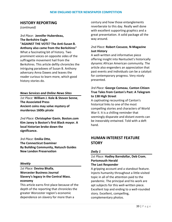# **HISTORY REPORTING**

*(continued)*

*3rd Place*: **Jennifer Huberdeau, The Berkshire Eagle "AGAINST THE VOTE? The Anti-Susan B. Anthony also came from the Berkshires"** What a fascinating bit of history. Two prominent voices on opposite sides of the suffragette movement hail from the Berkshires. This article deftly chronicles the intriguing paradoxes of Susan B. Anthony adversary Anna Dawes and leaves the reader curious to learn more, which good history stories do.

## *News Services and Online News Sites*

*1st Place:* **William J. Kole & Steven Senne**, **The Associated Press Ancient coins may solve mystery of murderous 1600s pirate**

*2nd Place:* **Christopher Gavin**, **Boston.com Kim Janey is Boston's first Black mayor. A local historian broke down the significance.**

*3rd Place:* **Emilia Otte**, **The Connecticut Examiner By Building Community, Natusch Guides New London Preservation**

#### *Weekly*

*1st Place:* **Devina Bhalla**, **Worcester Business Journal Slavery's legacy in the Central Mass. economy**

This article earns first place because of the depth of the reporting that chronicles the greater Worcester region's economic dependence on slavery for more than a

century and how those entanglements reverberate to this day. Really well done with excellent supporting graphics and a great presentation. A solid package all the way around.

## *2nd Place:* **Robert Cocuzzo**, **N-Magazine Just History**

A well-written and informative piece offering insight into Nantucket's historically dynamic African American community. The article also engenders an appreciation that past events and individuals can be a catalyst for contemporary progress. Very nicely presented.

# *3rd Place:* **George Comeau**, **Canton Citizen True Tales from Canton's Past: A Telegram to 138 High Street**

A captivating recounting of Canton's historical links to one of the most compelling stories and characters of World War II. It is a chilling reminder that seemingly disparate and distant events can be inexorably entwined. Told with a deft hand.

# **HUMAN INTEREST FEATURE STORY**

## *Daily 1*

## *1st Place:* **Hadley Barndollar, Deb Cram**, **Portsmouth Herald The Last Responder**

A gripping account and a standout feature. Injects humanity throughout a little-visited topic in all of the attention paid to the pandemic. The principal and his work are apt subjects for this well-written piece. Excellent top and ending to a well-rounded story. Excellent, compelling, complementary photos.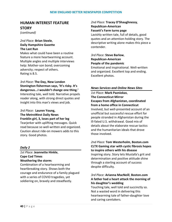# **HUMAN INTEREST FEATURE STORY**

*(continued)*

## *2nd Place:* **Brian Steele**, **Daily Hampshire Gazette The Last Run**

Makes what could have been a routine feature a more heartwarming account. Multiple angles and multiple interviews help: Mother-son bond; overcoming adversity; respect of others. Rating is 8.5.

*3rd Place:* **The Day, New London Stonington fisherman says, 'It's risky. It's dangerous...I wouldn't change one thing.'** Interesting tale, well told. Narrative propels reader along, with strong direct quotes and insight into this man's views and job.

## *3rd Place:* **Lauren Young, The MetroWest Daily News Franklin girl, 3, loses part of her leg**

Tearjerker with uplifting messages. Quick read because so well-written and organized. Caution about ride-on mowers adds to this story. Good photos.

## *Daily 2*

## *1st Place:* **Jeannette Hinkle**, **Cape Cod Times Weathering the storm:**

Combination of a heartwarming and heartbreaking story. Shows both the courage and endurance of a family plagued with a series of COVID tragedies, yet soldiering on, bravely and steadfastly.

## *2nd Place:* **Tracey O'Shaughnessy**, **Republican-American Fassett's Farm turns page**

Lavishly written tale, full of details, good quotes and an attention-holding story. The descriptive writing alone makes this piece a contender.

## *3rd Place:* **Steve Barlow**, **Republican-American People of the pandemic**

Emotional and inspirational. Well-written and organized. Excellent top and ending. Excellent photos.

## *News Services and Online News Sites*

# *1st Place:* **Mark Pazniokas**, **The Connecticut Mirror Escapes from Afghanistan, coordinated from a home office in Connecticut**

Involved, but well-presented account of an unofficial but successful rescue effort for people stranded in Afghanistan during the ill-fated U.S. withdrawal. Good mix of details about the elaborate rescue tactics and the humanitarian ideals that drove those involved.

# *2nd Place:* **Tom Westerholm**, **Boston.com CLTX Gaming star with cystic fibrosis hopes to inspire others with his disease** Inspiring story. Story lets Mustafa's grit and determination and positive attitude shine through a sterling account of success

despite difficulty.

# *3rd Place:* **Arianna MacNeill**, **Boston.com A father had a heart attack the morning of his daughter's wedding**

Touching tale, well told and succinctly so. Not a wasted word in delivering this heartwarming tale of father-daughter love and caring caretakers.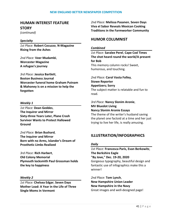# **HUMAN INTEREST FEATURE STORY**

*(continued)*

#### *Specialty*

*1st Place:* **Robert Cocuzzo**, **N-Magazine Rising from the Ashes**

*2nd Place:* **Veer Mudambi**, **Worcester Magazine A refugee's journey**

*3rd Place:* **Jessica Bartlett**, **Boston Business Journal Worcester funeral home Graham Putnam & Mahoney is on a mission to help the forgotten**

#### *Weekly 1*

*1st Place:* **Dean Geddes**, **The Inquirer and Mirror Sixty-three Years Later, Plane Crash Survivor Wants to Protect Hallowed Ground**

*2nd Place:* **Brian Bushard**, **The Inquirer and Mirror Born with no Arms, Islander's Dream of Prosthetic Limbs Realized**

*3rd Place:* **Rich Harbert**, **Old Colony Memorial Plymouth locksmith Paul Grossman holds the key to happiness**

#### *Weekly 2*

*1st Place:* **Chelsea Edgar**, **Seven Days Mother Load: A Year in the Life of Three Single Moms in Vermont**

*2nd Place:* **Melissa Pasanen**, **Seven Days Viva el Sabor Reveals Mexican Cooking Traditions in the Farmworker Community**

# **HUMOR COLUMNIST**

#### *Combined*

*1st Place:* **Saralee Perel**, **Cape Cod Times The shot heard round the world/A present for Bob** This memory column rocks! Sweet, humorous, and touching.

*2nd Place:* **Carol Vasta Folley**, **Stowe Reporter Appetizers; Sorry** The subject matter is relatable and fun to read.

*3rd Place:* **Nancy Slonim Aronie**, **MV Bluedot Living Nancy Slonim Aronie Essays**

The theme of the writer's husband saving the planet one factoid at a time and her just trying to live her life, is really amusing.

# **ILLUSTRATION/INFOGRAPHICS**

#### *Daily*

*1st Place:* **Francesca Paris, Evan Berkowitz**, **The Berkshire Eagle "By Jove," Dec. 19-20, 2020** Gorgeous typography, beautiful design and fantastic use of infographics make this a winner!

*2nd Place:* **Tom Lynch**, **New Hampshire Union Leader New Hampshire in the Navy** Great images and well-designed page!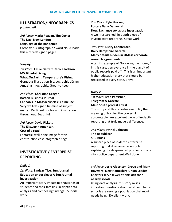# **ILLUSTRATION/INFOGRAPHICS**

*(continued)*

*3rd Place:* **Maria Reagan, Tim Cotter**, **The Day, New London Language of the pandemic** Coronavirus infographic / word cloud leads this nicely-designed page!

#### *Weekly*

*1st Place:* **Leslie Garrett, Nicole Jackson**, **MV Bluedot Living What.On.Earth: Temperature's Rising** Gorgeous illustration & typographic désign. Amazing infographic. Great to keep!

*2nd Place:* **Chriistina Grogan**, **Boston Business Journal Cannabis in Massachusetts: A timeline** Very well-designed timeline of subject matter. Pertinent photos and illustration throughout. Beautiful.

*3rd Place:* **David Fickett**, **The Ellsworth American. Cost of a road** Fantastic, well-done image for this

construction cost infographic page.

# **INVESTIGATIVE / ENTERPRISE REPORTING**

## *Daily 1*

# *1st Place:* **Lindsay Tice**, **Sun Journal Education under siege: A Sun Journal investigation**

An important story impacting thousands of students and their families. In-depth data analysis and compelling findings. Superb work.

*2nd Place:* **Kyle Stucker**, **Fosters Daily Democrat Doug Lachance sex abuse investigation** A well-researched, in-depth piece of investigative reporting. Great work.

# *3rd Place:* **Dusty Christensen**, **Daily Hampshire Gazette Many details hidden in UMass corporate research agreements**

A terrific example of "following the money." In this case, perseverance in the pursuit of public records paid off. This is an important higher education story that should be replicated in every state. Bravo.

### *Daily 2*

## *1st Place:* **Brad Petrishen**, **Telegram & Gazette Main South protest arrest**

This story and this reporter exemplify the meaning of holding the powerful accountable. An excellent piece of in-depth reporting that truly made a difference.

# *2nd Place:* **Patrick Johnson**, **The Republican SPD Blues**

A superb piece of in-depth enterprise reporting that does an excellent job explaining the deep-seated problems in one city's police department.Well done.

# *3rd Place:* **Josie Albertson-Grove and Mark Hayward**, **New Hampshire Union Leader Charters serve fewer at-risk kids than nearby scools**

Using data analysis, this story raises important questions about whether charter schools are serving a population that most needs help. Excellent work.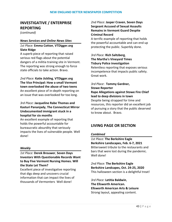# **INVESTIGATIVE / ENTERPRISE REPORTING**

*(continued)*

#### *News Services and Online News Sites*

## *1st Place:* **Emma Cotton**, **VTDigger.org Slate Ridge**

A superb piece of reporting that raised serious red flags about the potential dangers of a militia training site in Vermont. The reporting was strong enough to force state officials to take action. Bravo.

*2nd Place:* **Katie Jickling**, **VTDigger.org The Vice Principal: How a small Vermont town overlooked the abuse of two teens** An excellent piece of in-depth reporting on an issue that was overlooked for too long.

# *3rd Place:* **Jacqueline Rabe Thomas and Kasturi Pananjady**, **The Connecticut Mirror Undocumented immigrant stuck in a hospital for six months**

An excellent example of reporting that holds the powerful accountable for bureaucratic absurdity that seriously impacts the lives of vulnerable people. Well done!

## *Weekly*

# *1st Place:* **Derek Brouwer**, **Seven Days Investors With Questionable Records Want to Buy Five Vermont Nursing Homes. Will the State Let Them?**

Excellent piece of investigative reporting that digs deep and uncovers crucial information that can impact the lives of thousands of Vermonters Well done!

# *2nd Place:* **Jasper Craven**, **Seven Days Sergeant Accused of Sexual Assaults Remains in Vermont Guard Despite Criminal Record**

A terrific example of reporting that holds the powerful accountable and can end up protecting the public. Superbly done.

## *3rd Place:* **Rich Saltzberg**, **The Martha's Vineyard Times Tisbury Police investigation**

Relentless reporting that exposes serious incompetence that impacts public safety. Great work.

# *3rd Place*: **Tommy Gardner, Stowe Reporter Rape Allegations against Stowe Fire Chief lead to deep divisions in town** Despite being strapped for time and resources, this reporter did an excellent job

of pursuing a story that the public deserved to know about. Bravo.

# **LIVING PAGE OR SECTION**

## *Combined*

*1st Place:* **The Berkshire Eagle Berkshire Landscapes, Feb. 6-7, 2021** Bittersweet tribute to the restaurants and bars that were lost during the pandemic. Well done!

*2nd Place:* **The Berkshire Eagle Berkshire Landcapes, Oct. 24-25, 2020** This halloween section is a delightful treat!

*3rd Place:* **Letitia Baldwin**, **The Ellsworth American. Ellsworth American Arts & Leisure** Strong layout, appealing content.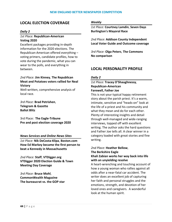# **LOCAL ELECTION COVERAGE**

### *Daily 2*

## *1st Place:* **Republican-American Voting 2020**

Excellent packages providing in-depth information for the 2020 elections. The Republican-American offered everything – voting primers, candidate profiles, how to vote during the pandemic, what you can wear to the polls, and everything in between.

## *2nd Place:* **Jim Kinney**, **The Republican Meat and Potatoes voters rallied for Neal Victory**

Well-written, comprehensive analysis of local race.

*3rd Place:* **Brad Petrishen**, **Telegram & Gazette Ballot Blitz**

3rd Place: **The Eagle-Tribune Pre and post election coverage 2020**

#### *News Services and Online News Sites*

*1st Place:* **Nik DeCosta-Klipa**, **Boston.com How Ed Markey became the first person to beat a Kennedy in Massachusetts**

*2nd Place:* **Staff**, **VTDigger.org VTDigger 2020 Election Guide & Town Meeting Day Coverage**

*3rd Place:* **Bruce Mohl**, **CommonWealth Magazine The bureaucrat vs. the GOP star**

#### *Weekly*

*1st Place:* **Courtney Lamdin**, **Seven Days Burlington's Mayoral Race**

*2nd Place:* **Addison County Independent Local Voter Guide and Outcome coverage**

*3rd Place:* **Olga Peters**, **The Commons No comparison**

# **LOCAL PERSONALITY PROFILE**

#### *Daily 2*

## *1st Place:* **Tracey O'Shaughnessy**, **Republican-American Farewell, Father Joe**

This is not your typical happy retirement story about the parish priest. It's a warm, intimate, sensitive and "heads-on" look at the life of a priest and his community and what they mean and do for each other. Plenty of interesting insights and detail through well-managed and wide-ranging interviews, topped off with excellent writing. The author asks the hard questions and Father Joe tells all. A clear winner in a category loaded with great stories and fine writing.

## *2nd Place:* **Heather Bellow**, **The Berkshire Eagle Khali Zabian works her way back into life with an unyielding resolve**

A heart-wrenching and touching account of how a young woman who rallies against all odds after a near-fatal car accident. The writer does an excellent job of capturing her faith and personal struggles and the emotions, strength, and devotion of her loved ones and caregivers. A wonderful look at the human spirit.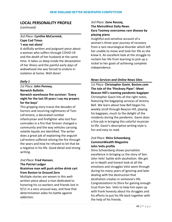# **LOCAL PERSONALITY PROFILE**

*(continued)*

## *3rd Place:* **Cynthia McCormick**, **Cape Cod Times 'I was not alone'**

A skillfully written and poignant piece about a woman who suffers through COVID-19 and the death of her husband at the same time. It takes us deep inside the devastation of her illness and the painful early days of widowhood she was forced to endure in isolation at home. Well done!

## *Daily 1*

# *1st Place:* **John Penney**, **Norwich Bulletin Norwich warehouse fire survivor: 'Every night for the last 59 years I say my prayers for the boys'**

This gripping story traces the decades of horrors and recurring nightmares of Tom LaFreniere, a decorated combat infantryman and firefighter who lost four comrades in a fire that forever changed a community and the way vehicles carrying volatile liquids are identified. The writer does a great job of explaining the anguish LaFreniere suffered reliving the fire through the years and how he refused to let that be a negative in his life. Good detail and strong writing.

## *2nd Place:* **Fred Hanson**, **The Patriot Ledger Braintree man will push airline drink cart from Boston to Ground Zero**

Multiple stories are woven in this wellwritten piece about a man dedicated to honoring his co-workers and friends lost in 9/11 in a very unusual way, and how that determination aides his battle against addiction.

## *3rd Place:* **Zane Razzaq**, **The MetroWest Daily News Kara Toomey overcomes rare disease by playing piano**

Insightful and sensitive account of a woman's three-year journey of recovery from a rare neurological disorder which left her unable to move and took her life as she knew it. An excellent look at the struggle to reclaim her life from learning to pick up a nickel to her goals of achieving complete independence.

## *News Services and Online News Sites*

*1st Place:* **Christopher Gavin**, **Boston.com The tale of the 'Pinckney Piper': Meet Beacon Hill's roaming pandemic bagpiper** Christopher Gavin hits all the right notes, featuring the bagpiping services of Jeremy Bell. We learn about how Bell began his weekly stroll through Beacon Hill, playing his bagpipes, much to the delight of the residents during the pandemic. Gavin does a fine job in bringing this colorful musician to life. Gavin's descriptive writing style is fun and easy to read.

# *2nd Place:* **Shira Schoenberg**, **CommonWealth Magazine John Velis profile**

Shira Schoenberg shows journalistic excellence in bringing us the story of Sen. John Velis' battle with alcoholism. We get an in-depth and honest look at all the emotions and struggles Velis went through during his many years of ignoring and later dealing with the destruction that alcoholism creates in someone's life. Congratulations to Shira for gaining enough trust from Sen. Velis to help him open up with frank honesty about his struggles and his efforts to put his life back together with the help of his friends.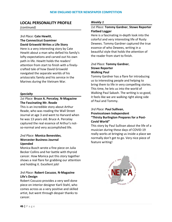# **LOCAL PERSONALITY PROFILE**

*(continued)*

## *3rd Place:* **Cate Hewitt**, **The Connecticut Examiner David Griswold Writes a Life Story**

Here is a very interesting story by Cate Hewitt about a man who defied his family's lofty expectations and carved out his own path in life. Hewitt holds the readers' attention from start to finish with a finelycrafted tale of how David Griswold navigated the separate worlds of his aristocratic family and his service in the Marines during the Vietnam War.

## *Specialty*

# *1st Place:* **Bruce A. Percelay**, **N-Magazine The Fascinating Mr. Reade**

This is an incredible story about Arthur Reade, who was reading the Wall Street Journal at age 3 and went to Harvard when he was 13 years old. Bruce A. Percelay captured the real essence of Arthur's notso-normal and very accomplished life.

## *2nd Place:* **Monica Benevides**, **Worcester Business Journal Upended**

Monica Busch wrote a fine piece on Julia Becker Collins and her battle with thyroid cancer. How Monica put this story together shows a real flare for grabbing our attention and holding it. Excellent job!

# *3rd Place:* **Robert Cocuzzo**, **N-Magazine Life's Design**

Robert Cocuzzo provides a very well done piece on interior designer Karli Stahl, who comes across as a very positive and skilled artist, but went through despair thanks to cancer.

### *Weekly 1*

## *1st Place:* **Tommy Gardner**, **Stowe Reporter Flatbed Logger**

Here is a fascinating in-depth look into the colorful and very interesting life of Rusty Dewees. Tommy Gardner captured the true essence of who Dewees, writing in a beautiful style that holds the attention of the reader from start to finish.

## *2nd Place:* **Tommy Gardner**, **Stowe Reporter Walking Paul**

Tommy Gardner has a flare for introducing us to interesting people and helping to bring them to life in very compelling stories. This time, he lets us into the world of Walking Paul Sakash. The writing is so good, it feels like we are walking right along side of Paul and Tommy.

## *3rd Place:* **Paul Sullivan**, **Provincetown Independent "Thirsty Burlington Prepares for a Post-Covid World"**

This story by Paul Sullivan about the life of a musician during these days of COVID-19 really works at bringing us inside a place we normally don't get to go. Very nice piece of feature writing!

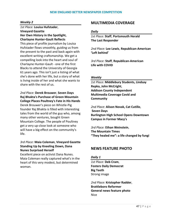#### *Weekly 2*

# *1st Place:* **Louisa Hufstader**, **Vineyard Gazette**

### **Her Own History in the Spotlight, Charlayne Hunter-Gault Reflects**

This piece of profile journalism by Louisa Hufstader flows smoothly, guiding us from the present to the past and back again with excellent writing craftsmanship. We get a compelling look into the heart and soul of Charlayne Hunter-Gault - one of the first Blacks to attend the University of Georgia 61 years ago. This isn't just a listing of what she's done with her life, but a story of what is living inside of her and what she wants to share with the rest of us.

*2nd Place:* **Derek Brouwer**, **Seven Days Raj Bhakta's Purchase of Green Mountain College Places Poultney's Fate in His Hands** Derek Brouwer's piece on Whistle-Pig founder Raj Bhakta is filled with interesting tales from the world of the guy who, among many other ventures, bought Green Mountain College. The people of Poultney get a very up-close look at someone who will have a big effect on the community's life.

# *3rd Place:* **Maia Coleman**, **Vineyard Gazette Standing Up by Kneeling Down, Dana Nunes Surprised Herself**

Excellent piece on activist Dana Nunes. Maia Coleman really captured what's in the heart of this very modest, but determined woman.

# **MULTIMEDIA COVERAGE**

#### *Daily*

*1st Place:* **Staff**, **Portsmouth Herald The Last Responder**

*2nd Place:* **Lee Lewis**, **Republican-American 'Left behind'**

*3rd Place:* **Staff**, **Republican-American Life with COVID**

#### *Weekly*

*1st Place:* **Middlebury Students, Lindsay Repka, John McCright**, **Addison County Independent Multimedia Coverage Covid and Community**

*2nd Place:* **Alison Novak, Cat Cutillo**, **Seven Days Burlington High School Opens Downtown Campus in Former Macy's**

*3rd Place:* **Ethan Weinstein**, **The Mountain Times "They healed me": a life changed by fungi**

# **NEWS FEATURE PHOTO**

#### *Daily 1*

*1st Place:* **Deb Cram**, **Fosters Daily Democrat Big Teeth** Strong image

*2nd Place:* **Kristopher Radder**, **Brattleboro Reformer General news feature photo** Nice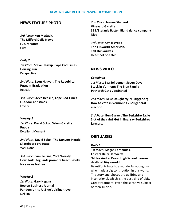# **NEWS FEATURE PHOTO**

*3rd Place:* **Ken McGagh**, **The Milford Daily News Future Voter Cute** 

#### *Daily 2*

*1st Place:* **Steve Heaslip**, **Cape Cod Times Herring Run** Perspective

*2nd Place:* **Leon Nguyen**, **The Republican Putnam Graduation** Reaction

*3rd Place:* **Steve Heaslip**, **Cape Cod Times Outdoor Christmas** Lovely

#### *Weekly 1*

*1st Place:* **David Sokol**, **Salem Gazette Puppy** Excellent Moment!

*2nd Place:* **David Sokol**, **The Danvers Herald Skateboard graduate** Well Done!

*3rd Place:* **Camille Fine**, **York Weekly How York lifeguards promote beach safety** Nice news feature

#### *Weekly 2*

*1st Place:* **Gary Higgins**, **Boston Business Journal Pandemic hits JetBlue's airline travel** Striking

*2nd Place:* **Jeanna Shepard**, **Vineyard Gazette SBB/Stefanie Batten Bland dance company** Nice

*3rd Place:* **Cyndi Wood**, **The Ellsworth American. Tall ship arrives** Headshot of a ship

# **NEWS VIDEO**

#### *Combined*

*1st Place:* **Eva Sollberger**, **Seven Days Stuck in Vermont: The Tran Family Patriarch Gets Vaccinated**

*2nd Place:* **Mike Dougherty**, **VTDigger.org How to vote in Vermont's 2020 general election**

*3rd Place:* **Ben Garver**, **The Berkshire Eagle Sick of the rain? Get in line, say Berkshires farmers.**

# **OBITUARIES**

#### *Daily 1*

*1st Place:* **Megan Fernandes**, **Fosters Daily Democrat 'All for Andre' Dover High School mourns death of 16-year-old**

Beautiful tribute to a wonderful young man who made a big contribution in this world. The story and photos are uplifting and inspirational, which is the best kind of obit. Great treatment, given the sensitive subject of teen suicide.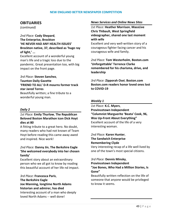# **OBITUARIES**

*(continued)*

*2nd Place:* **Cody Shepard**, **The Enterprise, Brockton 'HE NEVER HAD ANY HEALTH ISSUES' Brockton native, 37, described as 'huge ray of light,' ...**

Excellent account of a wonderful young man's life and a tragic loss due to the pandemic. Great presentation too, with big impact on the front page.

## *3rd Place:* **Steven Sanchez**, **Taunton Daily Gazette 'FRIEND TO ALL' D-R mourns former track star Jared Torres** Beautifully written; a fine tribute to a

wonderful young man.

## *Daily 2*

# *1st Place:* **Emily Thurlow**, **The Republican Beloved Boston Marathon icon Dick Hoyt dies at 80**

A fitting tribute to a great hero. No doubt, many readers who had not known of Team Hoyt before reading this came away awed and inspired. Nice work!

# *2nd Place:* **Danny Jin**, **The Berkshire Eagle 'She welcomed everybody into her chosen family'**

Excellent story about an extraordinary person who we all got to know by reading this beautiful account of her life nd impact.

*3rd Place:* **Francesca Paris**, **The Berkshire Eagle Joe Manning, longtime North Adams historian and admirer, has died** Interesting account of a man who deeply loved North Adams -- well done!

## *News Services and Online News Sites*

*1st Place:* **Heather Morrison**, **MassLive Chris Thibault, West Springfield videographer, shared one last moment with wife**

Excellent and very well-written story of a courageous fighter facing cancer and his courageous wife and family.

*2nd Place:* **Tom Westerholm**, **Boston.com 'Unforgettable' Terrence Clarke remembered for his charisma, drive, and leadership**

*3rd Place:* **Zipporah Osei**, **Boston.com Boston.com readers honor loved ones lost to COVID-19**

## *Weekly 1*

*1st Place:* **K.C. Myers**, **Provincetown Independent "Columnist Marguerite 'Beata' Cook, 96, Was Up-Front About Everything"** Excellent account of the life of a very interesting woman.

*2nd Place:* **Karen Hunter**, **The Sandwich Enterprise Remembering Clyde**

Very interesting recap of a life well lived by one of the town's most special citizens.

*3rd Place:* **Dennis Minsky**, **Provincetown Independent "Joe Bones, Who Had a Million Stories, Is Gone"**

Beautifully written reflection on the life of someone that anyone would be privileged to know it seems.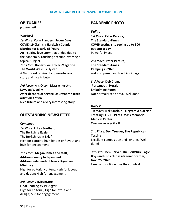## **OBITUARIES**

*(continued)*

#### *Weekly 2*

*1st Place:* **Colin Flanders**, **Seven Days COVID-19 Claims a Hardwick Couple Married for Nearly 68 Years** An inspiring love story that ended due to the pandemic. Touching account involving a topical subject. *2nd Place:* **Robert Cocuzzo**, **N-Magazine**

### **The World Was His Oyster** A Nantucket original has passed-- good

story and nice tribute.

*3rd Place:* **Kris Olson**, **Massachusetts Lawyers Weekly After decades of service, courtroom sketch artist dies at 84** Nice tribute and a very interesting story.

# **OUTSTANDING NEWSLETTER**

#### *Combined*

*1st Place:* **Lukas Southard**, **The Berkshire Eagle The Berkshires in Brief** High for content; high for design/layout and high for engagement

*2nd Place:* **Megan James and staff**, **Addison County Independent Addison Independent News Digest and Minibury** High for editorial content; High for layout and design; High for engagement

# *3rd Place:* **VTDigger.org Final Reading by VTDigger**

High for editorial; High for layout and design; Mid for engagement

# **PANDEMIC PHOTO**

#### *Daily 1*

*1st Place:* **Peter Pereira**, **The Standard-Times COVID testing site seeing up to 800 patients a day** Powerful image!

*2nd Place:* **Peter Pereira**, **The Standard-Times Camping in 2020** well composed and touching image

*3rd Place:* **Deb Cram, Portsmouth Herald Embalming Room** Not normally seen area. Well done!

### *Daily 2*

*1st Place:* **Rick Cinclair**, **Telegram & Gazette Treating COVID-19 at UMass Memorial Medical Center** One Image says it all!

*2nd Place:* **Don Treeger**, **The Republican Testing** Excellent composition and lighting. Well done!

*3rd Place:* **Ben Garver**, **The Berkshire Eagle Boys and Girls club visits senior center, Nov. 25, 2020** Familiar to folks across the country!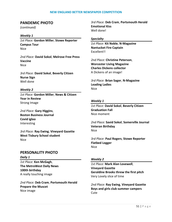# **PANDEMIC PHOTO**

*(continued)*

### *Weekly 1*

*1st Place:* **Gordon Miller**, **Stowe Reporter Campus Tour** Nice

*2nd Place:* **David Sokol**, **Melrose Free Press Vaccine** Nice

*3rd Place:* **David Sokol**, **Beverly Citizen Nurse Sign** Well done

#### *Weekly 2*

*1st Place:* **Gordon Miller**, **News & Citizen Year in Review** Strong Image

*2nd Place:* **Gary Higgins**, **Boston Business Journal Covid igloo** Interesting

*3rd Place:* **Ray Ewing**, **Vineyard Gazette West Tisbury School student** Nice

# **PERSONALITY PHOTO**

*Daily 1*

*1st Place:* **Ken McGagh**, **The MetroWest Daily News 100th birthday** A really touching image

*2nd Place:* **Deb Cram**, **Portsmouth Herald Prepare the Muscet** Nice image

*3rd Place:* **Deb Cram**, **Portsmouth Herald Emotional Kiss** Well done!

#### *Specialty*

*1st Place:* **Kit Noble**, **N-Magazine Nantucket Fire Captain** Excellent!!

*2nd Place:* **Christine Peterson**, **Worcester Living Magazine Charles Dickens collector** A Dickens of an image!

*3rd Place:* **Brian Sager**, **N-Magazine Leading Ladies** Nice

### *Weekly 1*

*1st Place:* **David Sokol**, **Beverly Citizen Graduation Fall** Nice moment

*2nd Place:* **Savid Sokol**, **Somerville Journal Veteran Birthday** Nice

*3rd Place:* **Paul Rogers**, **Stowe Reporter Flatbed Logger** Nice

#### *Weekly 2*

*1st Place:* **Mark Alan Lovewell**, **Vineyard Gazette Geraldine Brooks threw the first pitch** Very Lovely slice of time

*2nd Place:* **Ray Ewing**, **Vineyard Gazette Boys and girls club summer campers Cute**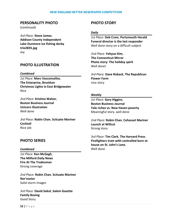## **PERSONALITY PHOTO**

*(continued)*

*3rd Place:* **Steve James**, **Addison County Independent Lake Dunmore ice fishing derby trio2835.jpg** Joy

# **PHOTO ILLUSTRATION**

#### *Combined*

*1st Place:* **Marc Vasconcellos**, **The Enterprise, Brockton Christmas Lights in East Bridgewater** Nice

*2nd Place:* **Kristina Walser**, **Boston Business Journal Unicorn illustration** Well done

*3rd Place:* **Robin Chan**, **Scituate Mariner Cocktail** Nice job

# **PHOTO SERIES**

#### *Combined*

*1st Place:* **Ken McGagh**, **The Milford Daily News Fire At The Tradesman** Strong coverage

*2nd Place:* **Robin Chan**, **Scituate Mariner Nor'easter** Solid storm images

*3rd Place:* **David Sokol**, **Salem Gazette Family Boxing** Good Story

# **PHOTO STORY**

#### *Daily*

*1st Place:* **Deb Cram**, **Portsmouth Herald Funeral director is the last responder** Well done story on a difficult subject

*2nd Place:* **Yehyun Kim**, **The Connecticut Mirror Photo story: The holiday spirit** Well done!

*3rd Place:* **Dave Roback**, **The Republican Flower Farm** nice story

### *Weekly*

*1st Place:* **Gary Higgins**, **Boston Business Journal Yale riches vs. New Haven poverty** Meaningful story. well done

*2nd Place:* **Robin Chan**, **Cohasset Mariner Launch at Willcut** Strong story

*3rd Place:* **Tim Clark**, **The Harvard Press Firefighters train with controlled burn at house on St. John's Lane.** Well done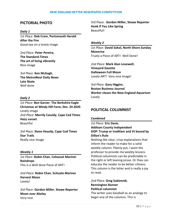# **PICTORIAL PHOTO**

#### *Daily 1*

*1st Place:* **Deb Cram**, **Portsmouth Herald After the Fire** Good eye on a lovely image

*2nd Place:* **Peter Pereira**, **The Standard-Times The art of living vibrantly** Nice image

*3rd Place:* **Ken McGagh**, **The MetroWest Daily News Late Skate** Well done

#### *Daily 2*

*1st Place:* **Ben Garver**, **The Berkshire Eagle Christmas at Windy Hill Farm, Dec. 24 2020** Lovely image *2nd Place:* **Merrily Cassidy**, **Cape Cod Times Hazy sunset** Beautiful

*3rd Place:* **Steve Heaslip**, **Cape Cod Times Star Trails** Really nice image

#### *Weekly 1*

*1st Place:* **Robin Chan**, **Cohasset Mariner Raindrops** This is a Well done Piece of ART!

*2nd Place:* **Robin Chan**, **Scituate Mariner Harvest Moon** Lovely!

*3rd Place:* **Gordon Miller**, **Stowe Reporter Moon over Akeley** Very nice

3rd Place: **Gordon Miller, Stowe Reporter Honk If You Like Spring** Beautiful!

#### *Weekly 2*

*1st Place:* **David Sokol, North Shore Sunday Moonrise** Truely a Piece of ART! Well Done!

*2nd Place:* **Mark Alan Lovewell**, **Vineyard Gazette Halloween Full Moon** Lovely ART! Very nice image!

*3rd Place:* **Gary Higgins**, **Boston Business Journal Worker cleans the New England Aquarium** Lovely

# **POLITICAL COLUMNIST**

#### *Combined*

*1st Place:* **Eric Davis**, **Addison County Independent GOP: Trump or tradition and Vt bound by Dillon's Rule**

Nothing like clear, crisp explanations that inform the reader to make for a solid weekly column. Plainly put, I want the professor to provide me weekly lessons. Political columnists can be predictable in the right or left leaning prose. Or they can educate the reader to be better citizens. This column is the latter and is really a joy to read.

*2nd Place:* **Greg Sukiennik**, **Bennington Banner Political columnist**

The writer uses baseball as an analogy to begin one of the columns. This is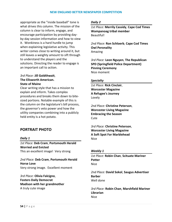appropriate as the "inside baseball" tone is what drives this column. The mission of the column is clear to inform, engage, and encourage participation by providing dayby-day session information and how to view it. Wonkiness is a hard hurdle to jump when explaining legislative activity. This writer comes close to writing around it, but still leaves a weighty amount to sift through to understand the players and the solutions. Directing the reader to engage is an important call to action.

## *3rd Place:* **Jill Goldthwait**, **The Ellsworth American. State of Maine**

Clear writing style that has a mission to explain and inform. Takes complex procedures and breaks them down to bitesized portions. Notable example of this is the column on the legislature's bill process, the governor's veto power and how the utility companies combining into a publicly held entity is a hot potato.

# **PORTRAIT PHOTO**

#### *Daily 1*

*1st Place:* **Deb Cram**, **Portsmouth Herald Worried and Evicted** This an excellent image! Very strong

*2nd Place:* **Deb Cram**, **Portsmouth Herald Horse Love** Very strong image. Excellent moment

*3rd Place:* **Olivia Falcigno**, **Fosters Daily Democrat Madison with her grandmother** A truly cute image

### *Daily 2*

*1st Place:* **Merrily Cassidy**, **Cape Cod Times Wampanoag tribal member** Beautiful!

*2nd Place:* **Ron Schloerb**, **Cape Cod Times Owl Peronality** Amazing

*3rd Place:* **Leon Nguyen**, **The Republican SPD (Springfield Police Department) Pinning Ceremony** Nice moment

### *Specialty*

*1st Place:* **Rick Cinclair**, **Worcester Magazine A Refugee's Journey** Lovely

*2nd Place:* **Christine Peterson**, **Worcester Living Magazine Embracing the Season** Cute

*3rd Place:* **Christine Peterson**, **Worcester Living Magazine A Soft Spot For Marblehead Nice** 

#### *Weekly 1*

*1st Place:* **Robin Chan**, **Scituate Mariner Potter** Nice

*2nd Place:* **David Sokol**, **Saugus Advertiser Barber** Well done

*3rd Place:* **Robin Chan**, **Marshfield Mariner Librarian** Nice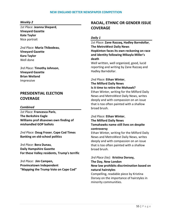#### *Weekly 2*

*1st Place:* **Jeanna Shepard**, **Vineyard Gazette Kate Taylor** Nice portrait

*2nd Place:* **Maria Thibodeau**, **Vineyard Gazette Kara Taylor** Well done

*3rd Place:* **Timothy Johnson**, **Vineyard Gazette Brian Weiland** Impressive

# **PRESIDENTIAL ELECTION COVERAGE**

#### *Combined*

*1st Place:* **Francesca Paris**, **The Berkshire Eagle Williams prof disavows own finding of mishandled GOP ballots**

*2nd Place:* **Doug Fraser**, **Cape Cod Times Banking on old-school politics**

*3rd Place:* **Bera Dunau**, **Daily Hampshire Gazette For these Valley residents, Trump's terrific**

*3rd Place:* **Jim Campen, Provincetown Independent "Mapping the Trump Vote on Cape Cod"**

# **RACIAL, ETHNIC OR GENDER ISSUE COVERAGE**

### *Daily 1*

*1st Place:* **Zane Razzaq, Hadley Barndollar**, **The MetroWest Daily News Hopkinton faces its own reckoning on race and identity following Mikayla Miller's death**

Well written, well organized, good, lucid reporting and writing by Zane Razzaq and Hadley Barndollar.

# *2nd Place:* **Ethan Winter**, **The Milford Daily News Is it time to retire the Mohawk?**

Ethan Winter, writing for the Milford Daily News and MetroWest Daily News, writes deeply and with compassion on an issue that is too often painted with a shallow broad brush.

# *2nd Place:* **Ethan Winter**, **The Milford Daily News Tomahawks name still lives on despite controversy**

Ethan Winter, writing for the Milford Daily News and MetroWest Daily News, writes deeply and with compassion on an issue that is too often painted with a shallow broad brush.

# *3rd Place (tie):* **Kristina Dorsey,**

**The Day, New London New law prohibits discrimination based on natural hairstyles**

Compelling, readable piece by Kristina Dorsey on the importance of hairstyles in minority communities.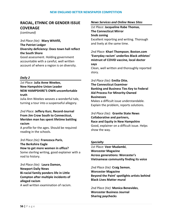# **RACIAL, ETHNIC OR GENDER ISSUE COVERAGE**

*(continued)*

# *3rd Place (tie):* **Mary Whitfill, The Patriot Ledger Diversity deficiency: Does town hall reflect the South Shore**

Good assessment. Holding government accountable with a careful, well written account of where a region is on diversity.

## *Daily 2*

# *1st Place:* **Julia Anne Weekes**, **New Hampshire Union Leader NEW HAMPSHIRE'S OWN uncomfortable truth**

Julia Ann Weekes weaves a wonderful tale, turning a tour into a suspenseful allegory.

# *2nd Place:* **Jeffery Kurz**, **Record-Journal From Jim Crow South to Connecticut, Meriden man has spent lifetime battling racism**

A profile for the ages. Should be required reading in the schools.

*3rd Place (tie):* **Francesca Paris**,

# **The Berkshire Eagle How to get more women in office?** Some sterling writing, good explainer with a nod to history.

*3rd Place (tie):* **Laura Damon, Newport Daily News Bi-racial family ponders life in Little Compton after multiple incidents of alleged racism** A well written examination of racism.

## *News Services and Online News Sites*

# *1st Place:* **Jacqueline Rabe Thomas**, **The Connecticut Mirror Snob zoning** Excellent reporting and writing. Thorough and lively at the same time.

## *2nd Place:* **Khari Thompson**, **Boston.com 'Everyday racism' underlies Black athletes' mistrust of COVID vaccine, local doctor says**

Clean, well written and thoroughly reported story.

## *3rd Place (tie):* **Emilia Otte**,

# **The Connecticut Examiner Banking and Business Ties Key to Federal Aid Process For Minority-Owned Businesses**

Makes a difficult issue understandable. Explain the problem, reports solutions.

# *3rd Place (tie):* **Granite State News Collaborative and partners, Race and Equity in New Hampshire**

Good, explainer on a difficult issue. Helps show the way.

# *Specialty*

*1st Place:* **Veer Mudambi**, **Worcester Magazine Across generations: Worcester's Vietnamese community finding its voice**

# *2nd Place (tie):* **Craig Semon**,

**Worcester Magazine Beyond the Paint' spotlights artists behind Black Lives Matter mural**

*2nd Place (tie):* **Monica Benevides**, **Worcester Business Journal Sharing paychecks**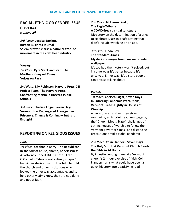# **RACIAL, ETHNIC OR GENDER ISSUE COVERAGE**

*(continued)*

*3rd Place:* **Jessica Bartlett, Boston Business Journal Salem brewer sparks a national #MeToo movement in the craft beer industry**

### *Weekly*

*1st Place:* **Kyra Steck and staff**, **The Martha's Vineyard Times Voices on Racism**

*2nd Place:* **Lily Robinson, Harvard Press DEI Project Team**, **The Harvard Press Confronting racism in Harvard Public Schools**

*3rd Place:* **Chelsea Edgar**, **Seven Days Vermont Has Endangered Transgender Prisoners. Change Is Coming — but Is It Enough?**

# **REPORTING ON RELIGIOUS ISSUES**

#### *Daily*

*1st Place:* **Stephanie Barry**, **The Republican In shadow of abuse, shame, hopelessness** As attorney Robert DiTusa notes, Fran O'Connell's "story is not entirely unique," but victim stories must still be told, to hold the church and other institutions who looked the other way accountable, and to help other victims know they are not alone and not at fault.

*2nd Place:* **Jill Harmacinski**, **The Eagle-Tribune A COVID-free spiritual sanctuary** Nice story on the determination of a priest to celebrate Mass in a safe setting that

# *3rd Place:* **Linda Roy**, **The Standard-Times Mysterious images found on walls under wallpaper**

didn't include watching on an app.

It's too bad the mystery wasn't solved, but in some ways it's better because it's unsolved. Either way, it's a story people can't resist talking about.

## *Weekly*

## *1st Place:* **Chelsea Edgar**, **Seven Days In Enforcing Pandemic Precautions, Vermont Treads Lightly in Houses of Worship**

A well-sourced and -written story examining, as its print headline suggests, the "Church Meets State" challenges of getting houses of worship to follow the Vermont governor's mask and distancing precautions amid a global pandemic.

# *2nd Place:* **Colin Flanders**, **Seven Days The Holy Sprint: A Vermont Church Reads the Bible in 24 Hours**

By investing enough time at a Vermont church's 24-hour exercise of faith, Colin Flanders turns what could have been a quick-hit story into a satisfying read.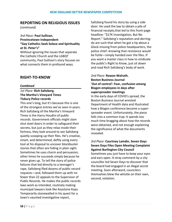# **REPORTING ON RELIGIOUS ISSUES**

*(continued)*

*3rd Place:* **Paul Sullivan**, **Provincetown Independent "Gay Catholics Seek Solace and Spirituality at St. Peter's"**

Without ignoring the issues that separate the Catholic Church and the LGBQT community, Paul Sullivan's story focuses on what connects them in profound ways.

# **RIGHT-TO-KNOW**

#### *Combined*

## *1st Place:* **Rich Saltzberg**, **The Martha's Vineyard Times Tisbury Police records**

This one's long, but it's because this is one of the strongest entries we've seen in years. Rich Saltzberg of the Martha's Vineyard Times is the Harry Houdini of public records. Government officials might slam shut steel doors in order to safeguard their secrets, but just as they relax inside their fortress, they look around to see Saltzberg quietly scooping up their files. He's creative, smart, and determined, deftly using every tool at his disposal to uncover blockbuster stories that often are hiding in plain sight. Sometimes he uses charm and persuasion; other times he succeeds simply because he never gives up. To tell the story of police failures that led directly to a teenager's rape, Saltzberg filed dozens of public record requests—and, followed them up with no fewer than 22 appeals to the Supervisor of Public Records. He makes the public records laws work as intended, routinely making municipal lawyers look like Keystone Kops. Temporarily stonewalled in his quest for a town's vaunted investigative report,

Saltzberg found his story by using a side door: He used the law to obtain a pile of financial receipts,that led to this front-page headline: "\$17K Investigation, But No Report." Saltzberg's reputation and derringdo are such that when he got a tip about a Glock missing from police headquarters, the police chief--knowing that resistance would be futile—simply handed over the files. If you want a master class in how to vindicate the public's Right to Know, just sit down and read Rich Saltzberg's body of work.

# *2nd Place:* **Rowan Walrath**, **Boston Business Journal 'Out of control': Fear, confusion among Biogen employees in days after superspreader meetings**

In the early days of COVID's spread, the Boston Business Journal wrested Department of Health data and illustrated how a Biogen conference became a superspreader event. Unfortunately, the piece falls into a common trap: It spends too much time bragging about how the records were obtained, and not enough explaining the significance of what the documents revealed.

# *3rd Place:* **Courtney Lamdin**, **Seven Days Seven Days Files Open Meeting Complaint Against Burlington City Council**

Sometimes you just have to keep your eyes and ears open. A stray comment by a city councillor led Seven Days to discover that the board had engaged in an illegal secret meeting. Soon afterward, councilors themselves blew the whistle on their own, second, violation.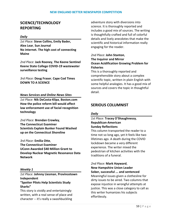# **SCIENCE/TECHNOLOGY REPORTING**

#### *Daily*

*1st Place:* **Steve Collins, Emily Bader, Alex Lear**, **Sun Journal No internet. The high cost of connecting Maine**

*2nd Place:* **Jack Rooney**, **The Keene Sentinel Keene State College COVID-19 wastewater surveillance testing**

*3rd Place:* **Doug Fraser**, **Cape Cod Times DOWN TO A SCIENCE**

#### *News Services and Online News Sites*

*1st Place:* **Nik DeCosta-Klipa**, **Boston.com How the police reform bill would affect law enforcement use of facial recognition technology**

*2nd Place:* **Brendan Crowley**, **The Connecticut Examiner Scientists Explain Bunker Found Washed up on the Connecticut Shoreline**

*3rd Place:* **Emilia Otte**, **The Connecticut Examiner UConn Awarded \$40 Million Grant to Develop Nuclear Magnetic Resonance Data Network**

#### *Weekly 1*

*1st Place:* **Johnny Liesman**, **Provincetown Independent "Spotter Pilots Help Scientists Study Sharks"**

This story is vividly and entertainingly written, with a real sense of place and character -- it's really a swashbuckling

adventure story with diversions into science. It is thoroughly reported and includes a good mix of sources. The writing is thoughtfully crafted and full of colorful details and lively anecdotes that make the scientific and historical information really engaging for the reader.

# *2nd Place:* **John Stanton**, **The Inquirer and Mirror Ocean Acidification Growing Problem for Fisheries**

This is a thoroughly reported and comprehensible story about a complex scientific topic, written in plain English with some helpful analogies. It has a good mix of sources and covers the topic in thoughtful detail.

# **SERIOUS COLUMNIST**

#### *Daily*

## *1st Place:* **Tracey O'Shaughnessy**, **Republican-American Sunday Reflections**

This column transported the reader to a time not so long ago, yet it feels like two lifetimes ago. A death during the COVID lockdown became a very different experience. The writer mixed the pedestrian of kitchen activities with the traditions of a funeral.

*2nd Place:* **Mark Hayward**, **New Hampshire Union Leader Sober, successful ... and sentenced** Meaningful issues given a clothesline for dirty issues to be aired. Two columns that expose injustice in wrongful attempts at justice. This was a close category to call as this writer humanizes his subjects effortlessly.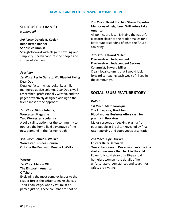# **SERIOUS COLUMNIST**

*(continued)*

*3rd Place:* **Donald B. Keelan**, **Bennington Banner Serious columnist**

Straightforward with elegant New England simplicity. Keelan captures the people and stories of Vermont.

### *Specialty*

# *1st Place:* **Leslie Garrett**, **MV Bluedot Living Dear Dot**

Detailed facts in what looks like a mildmannered advice column. Dear Dot is well researched, professionally written, and the pages attractively designed adding to the friendliness of the approach.

### *2nd Place:* **Victor Infante**, **Worcester Magazine Two Worcesteria columns**

A solid call to action for the community to not lose the home field advantage of the new diamond in the former rough.

*3rd Place:* **Bonnie J. Walker**, **Worcester Business Journal Outside the Box, with Bonnie J. Walker**

## *Weekly*

## *1st Place:* **Marvin Ott**, **The Ellsworth American. Offshore**

Explaining the most complex issues to the reader forces the writer to make choices. Their knowledge, when vast, must be parsed just so. These columns are spot on.

## *2nd Place:* **David Rocchio**, **Stowe Reporter Memories of neighbors; Will voters take America**

All politics are local. Bringing the nation's platform closer to the reader makes for a better understanding of what the future can bring.

# *3rd Place:* **Edward Miller**, **Provincetown Independent**

#### **Provincetown Independent Serious Columnist, Edward Miller**

Clean, local columns that I would look forward to reading each week of I lived in the community.

# **SOCIAL ISSUES FEATURE STORY**

## *Daily 1*

*1st Place:* **Marc Larocque**, **The Enterprise, Brockton Blood money Business offers cash for plasma in Brockton**

Major corporation seeking plasma from poor people in Brockton revealed by firstrate reporting and courageous prsentation.

*2nd Place:* **Kyle Stucker**, **Fosters Daily Democrat 'Feels like forever': Dover woman's life in a shelter one week then back in the cold** Powerfully-told story of a 39-year old homeless woman - the details of her unfortunate circumstances and search for safety are riveting.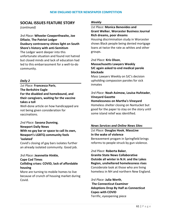# **SOCIAL ISSUES FEATURE STORY**

*(continued)*

*3rd Place:* **Wheeler Cowperthwaite, Joe Difazio**, **The Patriot Ledger Duxbury controversy shines light on South Shore's history with anti-Semitism**

The Ledger went deeper into this unfortunate situation and found not hatred but closed minds and lack of education had led to this embarrassment for a well-to-do community.

### *Daily 2*

*1st Place:* **Francesca Paris**, **The Berkshire Eagle For the disabled and homebound, and their caregivers, waiting for the vaccine takes a toll**

Well-done article on how handicapped are not being given consideration for vaccinations.

# *2nd Place:* **Savana Dunning**, **Newport Daily News With no gay bar or space to call its own, Newport's LGBTQ community feels 'isolated'**

Covid's closing of gay bars isolates further an already isolated community. Good job.

#### *3rd Place:* **Jeannette Hinkle**,

**Cape Cod Times**

**Colliding crises: COVID, lack of affordable housing**

More are turning to mobile homes to live because of crunch of housing market during Covid.

#### *Weekly*

# *1st Place:* **Monica Benevides and Grant Welker**, **Worcester Business Journal Rich dreams, poor dreams**

Housing discrimination study in Worcester shows Black people being denied mortgage loans at twice the rate as whites and other groups.

# *2nd Place:* **Kris Olson**, **Massachusetts Lawyers Weekly SJC again asked to end medical parole blockade**

Mass Lawyers Weekly on SJC's decision upholding compassion paroles for sick inmates

# *3rd Place:* **Noah Asimow, Louisa Hufstader**, **Vineyard Gazette**

**Homelessness on Martha's Vineyard** Homeless shelter closing on Nantucket but good for the paper to stay on the story until some island relief was identified.

#### *News Services and Online News Sites*

*1st Place:* **Douglas Hook**, **MassLive In the wake of violence** Bereavement progam in Springfield brings reforms to people struck by gun violence.

#### *2nd Place:* **Roberta Baker**,

**Granite State News Collaborative Outside all winter in N.H. and the Lakes Region, unsheltered homelessness rises** Considerate look at those who are living homeless in NH and northern New England.

*3rd Place:* **Julia Werth**, **The Connecticut Examiner Adoptions Drop By Half as Connecticut Copes with COVID** Terrific, eyeopening piece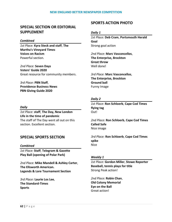# **SPECIAL SECTION OR EDITORIAL SUPPLEMENT**

#### *Combined*

*1st Place:* **Kyra Steck and staff**, **The Martha's Vineyard Times Voices on Racism** Powerful section.

*2nd Place:* **Seven Days Voters' Guide 2020** Great resource for community members.

*3rd Place:* **PBN Staff**, **Providence Business News PBN Giving Guide 2020**

### *Daily*

*1st Place:* **staff**, **The Day, New London Life in the time of pandemic** The staff of The Day went all out on this section. Excellent section.

# **SPECIAL SPORTS SECTION**

## *Combined*

*1st Place:* **Staff**, **Telegram & Gazette Play Ball (opening of Polar Park)**

*2nd Place:* **Mike Mandell & Ashley Carter**, **The Ellsworth American. Legends & Lore Tournament Section**

*3rd Place:* **Laurie Los Lee**, **The Standard-Times Sports**

# **SPORTS ACTION PHOTO**

## *Daily 1*

*1st Place:* **Deb Cram**, **Portsmouth Herald Goal** Strong goal action

*2nd Place:* **Marc Vasconcellos**, **The Enterprise, Brockton Great throw** Well done!

*3rd Place:* **Marc Vasconcellos**, **The Enterprise, Brockton Ground ball** Funny Image

## *Daily 2*

*1st Place:* **Ron Schloerb**, **Cape Cod Times flying tag** Out!

*2nd Place:* **Ron Schloerb**, **Cape Cod Times Called Safe** Nice image

*3rd Place:* **Ron Schloerb**, **Cape Cod Times spike** Nice

## *Weekly 1*

*1st Place:* **Gordon Miller**, **Stowe Reporter Baseball, tennis plays for title** Strong Peak action!

*2nd Place:* **Robin Chan**, **Old Colony Memorial Eye on the Ball** Great action!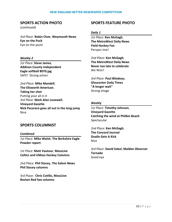# **SPORTS ACTION PHOTO**

*(continued)*

*3rd Place:* **Robin Chan**, **Weymouth News Eye on the Puck** Eye on the puck!

### *Weekly 2*

*1st Place:* **Steve James**, **Addison County Independent Eagle softball 8070.jpg** SAFE! Strong action

*2nd Place:* **Mike Mandell**, **The Ellsworth American. Taking her shot** Putting your all in it *3rd Place:* **Mark Alan Lovewell**, **Vineyard Gazette Nick Pecararo goes all out in the long jump** Nice

# **SPORTS COLUMNIST**

#### *Combined*

*1st Place:* **Mike Walsh**, **The Berkshire Eagle Powder report**

*1st Place:* **Matt Vautour**, **MassLive Celtics and UMass Hockey Columns**

*2nd Place:* **Phil Stacey**, **The Salem News Phil Stacey columns**

3rd Place: **Chris Cotillo, MassLive Boston Red Sox columns**

# **SPORTS FEATURE PHOTO**

#### *Daily 1*

*1st Place:* **Ken McGagh**, **The MetroWest Daily News Field Hockey Fan** Perspec tive!

*2nd Place:* **Ken McGagh**, **The MetroWest Daily News Never too late to celebrate** We Won!

*3rd Place:* **Paul Bilodeau**, **Gloucester Daily Times "A longer wait"** Strong image

#### *Weekly*

*1st Place:* **Timothy Johnson**, **Vineyard Gazette Catching the wind at Philbin Beach** Spectacular

*2nd Place:* **Ken McGagh**, **The Concord Journal Goalie Gets A Kick** Nice

*3rd Place:* **David Sokol**, **Malden Observer Tornado** Good eye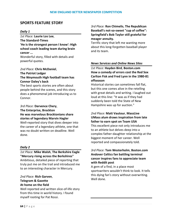# **SPORTS FEATURE STORY**

### *Daily 1*

*1st Place:* **Laurie Los Lee**, **The Standard-Times 'He is the strongest person I know': High school coach leading team during brain cancer ...**

Wonderful story, filled with details and powerful quotes.

# *2nd Place:* **Chris McDaniel**, **The Patriot Ledger The Weymouth High football team has Connor Daley's back**

The best sports stories are often about people behind the scenes, and this story does a phenomenal job introducing us to Connor.

## *3rd Place:* **Darvence Chery**, **The Enterprise, Brockton He was marvelous Brocktonians share stories of legendary Marvin Hagler**

Well-reported story that dives deeper into the career of a legendary athlete, one that was no doubt written on deadline. Well done.

## *Daily 2*

*1st Place:* **Mike Walsh**, **The Berkshire Eagle "Mercury rising across the Berkshires"** Ambitious, detailed piece of reporting that truly put me on the trail and introduced me to an interesting character in Mercury.

*2nd Place:* **Rich Garven**, **Telegram & Gazette At home on the field**

Well reported and written slice-of-life story from this time in world history. I found myself rooting for Pat Rossi.

# *3rd Place:* **Ron Chimelis**, **The Republican Baseball's not-so-sweet "cup of coffee": Springfield's Bob Taylor still grateful for meager annuity.**

Terrific story that left me wanting more about this long-forgotten baseball player and its team.

## *News Services and Online News Sites*

*1st Place:* **Hayden Bird**, **Boston.com How a comedy of errors cost the Red Sox Carlton Fisk and Fred Lynn in the 1980-81 offseason**

Historical stories can sometimes fall flat, but this one comes alive in the retelling with great details and writing. I laughed out loud at this line: "It was as if they had suddenly been told the State of New Hampshire was up for auction."

# *2nd Place:* **Matt Vautour**, **MassLive UMass alum draws inspiration from late father to earn spot on Team USA**

This excellent piece not only introduces me to an athlete but delves deep into a complex father-daughter relationship at the biggest moment of her career. Well reported and compassionately told.

# *3rd Place:* **Tom Westerholm**, **Boston.com Andover Celtics fan battling terminal cancer inspires fans to appreciate team with Reddit post**

A gem of a find, in a place most sportswriters wouldn't think to look. It tells this dying fan's story without overwriting. Well done.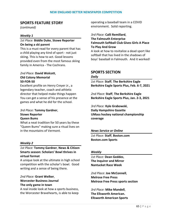# **SPORTS FEATURE STORY**

*(continued)*

### *Weekly 1*

## *1st Place:* **Biddle Duke**, **Stowe Reporter On being a ski parent**

This is a must read for every parent that has a child playing any kind of sport - not just skiing. This is how to act. Good lessons provided even from the most famous skiing family in America - The Cochrans.

### *2nd Place:* **David Wolcott**, **Old Colony Memorial 50-FOR-50**

Excellent profile on Henry Creyer Jr., a legendary teacher, coach and athletic director that helped make things happen You can get a sense of his presence at the games and what he did for the school.

### *3rd Place:* **Tommy Gardner**, **Stowe Reporter Queen Bums**

What a neat tradition for 50 years by these "Queen Bums" making sure a ritual lives on in the mountains of Vermont.

#### *Weekly 2*

# *1st Place:* **Tommy Gardner**, **News & Citizen Smarts season: Scholars' Bowl thrives in virtual format**

A unique look at the ultimate in high school competition with the scholar's bowl. Good writing and a sense of being there.

*2nd Place:* **Grant Welker**, **Worcester Business Journal The only game in town**

A real inside look at how a sports business, the Worcester Bravehearts, is able to keep operating a baseball team in a COVID environment. Solid reporting.

# *3rd Place:* **Calli Remillard**, **The Falmouth Enterprise Falmouth Softball Club Gives Girls A Place To Play And Grow**

A look at how to revitalize a dead sport like softball that has lived in the shadows of boys' baseball in Falmouth. And it worked!

# **SPORTS SECTION**

### *Daily*

*1st Place:* **Staff**, **The Berkshire Eagle Berkshire Eagle Sports Plus, Feb. 6-7, 2021**

*2nd Place:* **Staff**, **The Berkshire Eagle Berkshire Eagle Sports Plus, Jan. 2-3, 2021**

*3rd Place:* **Kyle Grabowski**, **Daily Hampshire Gazette UMass hockey national championship coverage**

#### *News Service or Online*

*1st Place:* **Staff**, **Boston.com Boston.com Sports**

#### *Weekly*

*1st Place:* **Dean Geddes**, **The Inquirer and Mirror Nantucket Race Week**

*2nd Place:* **Joe McConnell**, **Melrose Free Press Melrose Free Press sports section**

*3rd Place:* **Mike Mandell**, **The Ellsworth American. Ellsworth American Sports**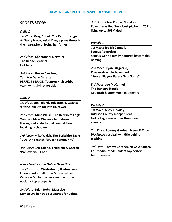# **SPORTS STORY**

#### *Daily 1*

*1st Place:* **Greg Dudek**, **The Patriot Ledger At Stony Brook, Asiah Dingle plays through the heartache of losing her father**

*2nd Place:* **Christopher Detwiler**, **The Keene Sentinel Hot bats**

*3rd Place:* **Steven Sanchez**, **Taunton Daily Gazette PERFECT SEASON Taunton High softball team wins sixth state title**

#### *Daily 2*

*1st Place:* **Jen Toland**, **Telegram & Gazette 'Fitting' tribute for late HC rower**

*2nd Place:* **Mike Walsh**, **The Berkshire Eagle Western Mass Warriors barnstorm throughout state to find competition for local high schoolers**

*3rd Place:* **Mike Walsh**, **The Berkshire Eagle "COVID no match for Josh community"**

*3rd Place*: **Jen Toland, Telegram & Gazette 'We love you, Cooz'**

#### *News Services and Online News Sites*

*1st Place:* **Tom Westerholm**, **Boston.com UConn basketball: How Milton native Caroline Ducharme became one of the nation's top prospects**

*2nd Place:* **Brian Robb**, **MassLive Kemba Walker trade scenarios for Celtics** *3rd Place:* **Chris Cotillo**, **MassLive Eovaldi was Red Sox's best pitcher in 2021, living up to \$68M deal**

#### *Weekly 1*

*1st Place:* **Joe McConnell**, **Saugus Advertiser Saugus' Serino family honored by complex naming**

*2nd Place:* **Ryan Fitzgerald**, **Provincetown Independent "Soccer Players Face a New Game"**

*3rd Place:* **Joe McConnell**, **The Danvers Herald NFL Draft history made in Danvers**

#### *Weekly 2*

*1st Place:* **Andy Kirkaldy**, **Addison County Independent Gritty Eagles earn their three-peat in shootout**

*2nd Place:* **Tommy Gardner**, **News & Citizen PA/Stowe baseball win title behind pitching**

*3rd Place:* **Tommy Gardner**, **News & Citizen Court adjourned: Raiders cap perfect tennis season**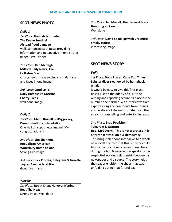# **SPOT NEWS PHOTO**

### *Daily 1*

*1st Place:* **Hannah Schroeder**, **The Keene Sentinel Alstead flood damage** well, composed spot news providing information and perspective in one strong image. Well done!

*2nd Place:* **Ken McGagh**, **Milford Daily News, The Holliston Crash** strong news image sowing crash damage and faces in one image,

*3rd Place:* **Carol Lollis**, **Daily Hampshire Gazette Cherry Trees** well done image

#### *Daily 2*

*1st Place:* **Glenn Russell**, **VTDigger.org Demonstration confrontation** One Hell of a spot news image! My congratulations!!

*2nd Place:* **Jim Shannon**, **Republican-American Waterbury home ablaze** Strong Fire Image

*3rd Place:* **Rick Cinclair**, **Telegram & Gazette Jaques Avenue fatal fire** Good fire image

#### *Weekly*

*1st Place:* **Robin Chan**, **Hanover Mariner Beat The Heat** Strong image Well done

*2nd Place:* **Jen Manell**, **The Harvard Press Honoring an icon** Well done

*3rd Place:* **David Sokol**, **Ipswich Chronicle Smoky House** Interesting image

# **SPOT NEWS STORY**

#### *Daily*

# *1st Place:* **Doug Fraser**, **Cape Cod Times Lobster diver swallowed by humpback whale**

It would be easy to give this first place based just on the oddity of it, but the writing and reporting secure its place as the number one finisher. With interviews from experts alongside comments from friends and relatives of the unfortunate diver, the story is a compelling and entertaining read.

## *2nd Place:* **Brad Petrishen**, **Telegram & Gazette**

**Rep. McGovern: 'This is not a protest. It is a terrorist attack on our democracy'** This brings telephone interviews to a whole new level! The fact that this reporter could talk to the local congressman in real time during the Jan. 6 insurrection speaks to the respectful working relationship between a newspaper and a source. The story helps the reader envision the chaos that was unfolding during that fateful day.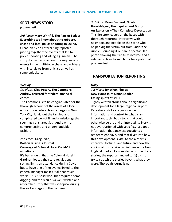# **SPOT NEWS STORY**

*(continued)*

*3rd Place:* **Mary Whitfill**, **The Patriot Ledger Everything we know about the robbery, chase and fatal police shooting in Quincy** Great job by an enterprising reporter piecing together the events that led to police shooting and killing a gunman. The story dramatically laid out the sequence of events in the multi-town chase and robbery with interviews from officials as well as some onlookers.

### *Weekly*

# *1st Place:* **Olga Peters**, **The Commons Andrew arrested for federal financial crimes**

The Commons is to be congratulated for the thorough account of the arrest of a local educator on federal fraud charges in New York City. It laid out the tangled and complicated web of financial misdoings that seemingly ensnared Seth Andrew in a comprehensive and understandable fashion.

# *2nd Place:* **Greg Ryan**, **Boston Business Journal Coverage of Colonial Hotel Covid-19 violations**

It's bad enough that the Colonial Hotel in Gardner flouted the state regulations setting limits on attendance during Covid, but to have one of the events linked to the general manager makes it all that much worse. This is solid work that required some digging, and the result is a well-written and researched story that was so topical during the earlier stages of the pandemic.

*3rd Place:* **Brian Bushard, Nicole Harnishfeger**, **The Inquirer and Mirror An Explosion – Then Complete Devastation** This fire story covers all the bases with thorough reporting, interviews with neighbors and people on the scene who helped dig the victim out from under the rubble. Rounding it out are a spectacular photo showing the fire fully involved and a sidebar on how to watch our for a potential propane leak.

# **TRANSPORTATION REPORTING**

### *Daily*

# *1st Place:* **Jonathan Phelps**, **New Hampshire Union Leader Lifting spirits at MHT**

Tightly written stories about a significant development for a large, regional airport. Reporter adds lots of good-value information and context to what is an important topic, but a topic that could otherwise be dry and uninteresting. Story is not overburdened with specifics, just good information that answers questions a reader might have, and that dives into how this development is vital to the airport's improved fortunes and future and how the adding of this service can influence the New England market. Few wasted words in these stories; the reporter and editor(s) did not try to stretch the stories beyond what they were. Thorough journalism.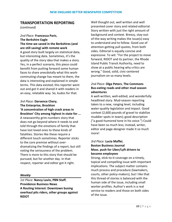# **TRANSPORTATION REPORTING**

*(continued)*

# *2nd Place:* **Francesca Paris**, **The Berkshire Eagle The time we saved in the Berkshires (and are still saving) with remote work** A good story built largely on statistical data, but interesting data. Sometimes, it's the quality of the story idea that makes a story. Yes, in a perfect scenario, this piece could benefit from putting forward some human faces to share anecdotally what this workcommuting change has meant to them, the data is interesting and explained in simple

terms. This data existed; this reporter went out and got it and shared it with readers in an easy, relatable way. So, kudos for that.

## *3rd Place:* **Darvence Chery**, **The Enterprise, Brockton**

**'A concentration of high crash areas in Brockton' City among highest in state for ...** A newsworthy grim-numbers story that does not go beyond where it needs to and told through the emotions of family that have lost loved ones to these kinds of fatalities. Stories like these require a different touch sometimes. Reporter sticks to the core premise without overdramatizing the findings of a report, but still noting the seriousness of the problem. There is more to this story that should be pursued, but for another day. In that respect, reporter and editor got it right.

#### *Weekly*

*1st Place:* **Nancy Lavin, PBN Staff**, **Providence Business News A Routing Interest: Downtown busing overhaul pits riders, other groups against RIDOT**

Well thought out, well written and well presented cover story and related editorial. Story written with just the right amount of background and context. Breezy, stay-outof-the-way writing makes the issue(s) easy to understand and to follow. Good use of attention-getting pull quotes, from both sides. Editorial is equally concise and expressive. To wit: "For the project to move forward, RIDOT and its partner, the Rhode Island Public Transit Authority, need to show at a public hearing why critics are wrong." Good, solid, civic-centered journalism on so many levels.

# *2nd Place:* **Olga Peters**, **The Commons Bus-eating roads and other mud season adventures**

A well-written, well-edited, and wonderfully headlined story. Mud-season reporting taken to a new, ranging level, including water-quality legislation and impact. Good context (2,600 pounds of gravel to stabilize muddier spots in town); good description ("a good-humored tone in his voice.") Could have been so much less; instead, writer, editor and page-designer made it so much more!

# *3rd Place:* **Lucia Maffei**, **Boston Business Journal Mass. push for Uber/Lyft drivers to become employees**

Strong, stick-to-it coverage on a timely, topical and compelling issue with important implications. The subject matter contains much process and procedure (lawmakers, courts, other policy-makers), but I like that this thread of stories is balanced with the human side of the issue, including small worker profiles. Author's work is a real service to readers and those on both sides of the issue.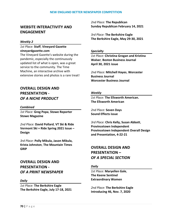# **WEBSITE INTERACTIVITY AND ENGAGEMENT**

### *Weekly 2*

# *1st Place:* **Staff**, **Vineyard Gazette vineyardgazette.com**

The Vineyard Gazette's website during the pandemic, especially the continuously updated list of what is open, was a great service to the community. The Time Machine, an interactive archive with extensive stories and photos is a rare treat!

# **OVERALL DESIGN AND PRESENTATION -** *OF A NICHE PRODUCT*

### *Combined*

*1st Place:* **Greg Popa**, **Stowe Reporter Stowe Magazine**

*2nd Place:* **David Pollard**, **VT Ski & Ride Vermont Ski + Ride Spring 2021 Issue – Design**

*3rd Place:* **Polly Mikula, Jason Mikula, Krista Johnston**, **The Mountain Times GRIP**

# **OVERALL DESIGN AND PRESENTATION -** *OF A PRINT NEWSPAPER*

#### *Daily*

*1st Place:* **The Berkshire Eagle The Berkshire Eagle, July 17-18, 2021** *2nd Place:* **The Republican Sunday Republican February 14, 2021**

*3rd Place:* **The Berkshire Eagle The Berkshire Eagle, May 29-30, 2021**

#### *Specialty*

*1st Place:* **Christina Grogan and Kristina Walser**, **Boston Business Journal April 30, 2021 issue**

*2nd Place:* **Mitchell Hayes**, **Worcester Business Journal Worcester Business Journal**

### *Weekly*

*1st Place:* **The Ellsworth American. The Ellsworth American**

*2nd Place:* **Seven Days Sound Effects issue**

*3rd Place:* **Chris Kelly, Susan Abbott**, **Provincetown Independent Provincetown Independent Overall Design and Presentation, 4-22-21**

# **OVERALL DESIGN AND PRESENTATION –** *OF A SPECIAL SECTION*

## *Daily*

*1st Place:* **Maryellen Gale**, **The Keene Sentinel Extraordinary Women**

*2nd Place:* **The Berkshire Eagle Introducing 46, Nov. 7, 2020**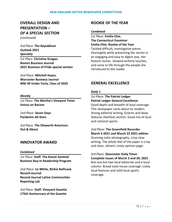# **OVERALL DESIGN AND PRESENTATION –** *OF A SPECIAL SECTION (continued)*

*3rd Place:* **The Republican Outlook 2021** *Specialty*

*1st Place:* **Christina Grogan**, **Boston Business Journal 2021 Business of Pride special section**

*2nd Place:* **Mitchell Hayes**, **Worcester Business Journal WBJ 40 Under Forty, Class of 2020**

## *Weekly*

*1st Place:* **The Martha's Vineyard Times Voices on Racism**

*2nd Place:* **Seven Days Pandemic All-Stars**

*3rd Place:* **The Ellsworth American. Out & About**

# **INNOVATOR AWARD**

## *Combined*

*1st Place:* **Staff**, **The Keene Sentinel Business Buy-in Readership Program**

*2nd Place:* **Liz White, Richie Rathsack**, **Record-Journal Record-Journal Latino Communities Reporting Lab**

*3rd Place:* **Staff**, **Vineyard Gazette 175th Anniversary of the Gazette**

# **ROOKIE OF THE YEAR**

### *Combined*

*1st Place:* **Emilia Otte**, **The Connecticut Examiner Emilia Otte: Rookie of the Year** Tackled difficult, investigative pieces thoroughly while presenting the stories in an engaging and easy to digest way. Her feature stories showed writerly touches, and came to life through the people she introduced to the reader

# **GENERAL EXCELLENCE**

## *Daily 1*

*1st Place:* **The Patriot Ledger Patriot Ledger General Excellence** Good depth and breadth of local coverage. This newspaper cares about its readers. Strong editorial writing. Eclectic and deep features (GetOut) section. Good mix of local and national sports.

*2nd Place:* **The Greenfield Recorder March 4 2021 and March 22 2021 edition** Stunning color photography. crisp clear writing. The whole feel of the paper is crisp and clear, vibrant. Lively opinion page.

*3rd Place:* **Gloucester Daily Times Complete issues of March 3 and 29, 2021** Not one but two local editorials and a local column. Broad state house coverage. Lively local features and solid local sports coverage.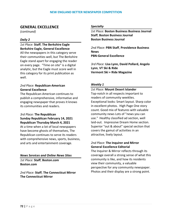# **GENERAL EXCELLENCE**

*(continued)*

### *Daily 2*

### *1st Place:* **Staff**, **The Berkshire Eagle Berkshire Eagle, General Excellence**

All the newspapers in this category serve their communities well, but The Berkshire Eagle stand apart for engaging the reader on every page. "Time on site" is a digital analytic, but the Eagle must score well in this category for its print publication as well.

## *2nd Place:* **Republican-American General Excellence**

The Republican-American continues to publish a comprehensive, informative and engaging newspaper that proves it knows its communities and readers.

## *3rd Place:* **The Republican Sunday Republican February 14, 2021 Republican Thursday March 4, 2021**

At a time when a lot of local newspapers have become ghosts of themselves, The Republican continues to serve its readers with comprehensive news, sports, business, and arts and entertainment coverage.

## *News Services and Online News Sites*

*1st Place:* **Staff**, **Boston.com Boston.com**

*2nd Place:* **Staff**, **The Connecticut Mirror The Connecticut Mirror**

#### *Specialty*

*1st Place:* **Boston Business Business Journal Staff**, **Boston Business Journal Boston Business Journal**

*2nd Place:* **PBN Staff**, **Providence Business News PBN-General Excellence**

*3rd Place:* **Lisa Lynn, David Pollard, Angelo Lynn**, **VT Ski & Ride Vermont Ski + Ride Magazine**

## *Weekly 1*

# *1st Place:* **Mount Desert Islander** Top-notch in all respects important to readers of community weeklies. Exceptional looks: Smart layout. Sharp color in excellent photos. High Page One story count. Good mix of features with valuable community news Lots of "news you can use." Healthy classified ad section, well laid-out. Impressive Dream Home section. Superior "out & about" special section that covers the gamut of activities in an attractive, lively layout.

# *2nd Place:* **The Inquirer and Mirror General Excellence Editorial**

The Inquirer & Mirror reflects through its coverage overall a strong sense of what this community is like, and how its residents view their community, a valuable perspective for any community newspaper. Photos and their display are a strong point.